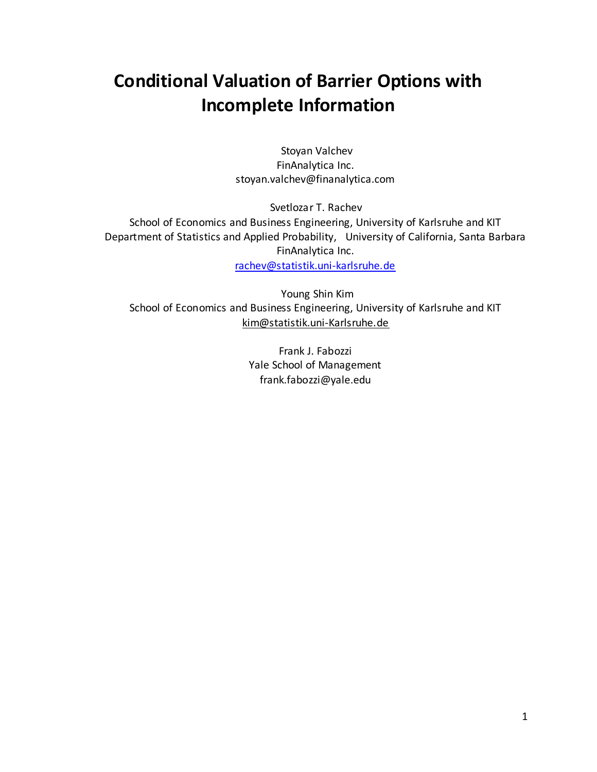# **Conditional Valuation of Barrier Options with Incomplete Information**

Stoyan Valchev FinAnalytica Inc. stoyan.valchev@finanalytica.com

Svetlozar T. Rachev School of Economics and Business Engineering, University of Karlsruhe and KIT Department of Statistics and Applied Probability, University of California, Santa Barbara FinAnalytica Inc. [rachev@statistik.uni-karlsruhe.de](mailto:rachev@statistik.uni-karlsruhe.de)

Young Shin Kim School of Economics and Business Engineering, University of Karlsruhe and KIT kim@statistik.uni-Karlsruhe.de

> Frank J. Fabozzi Yale School of Management frank.fabozzi@yale.edu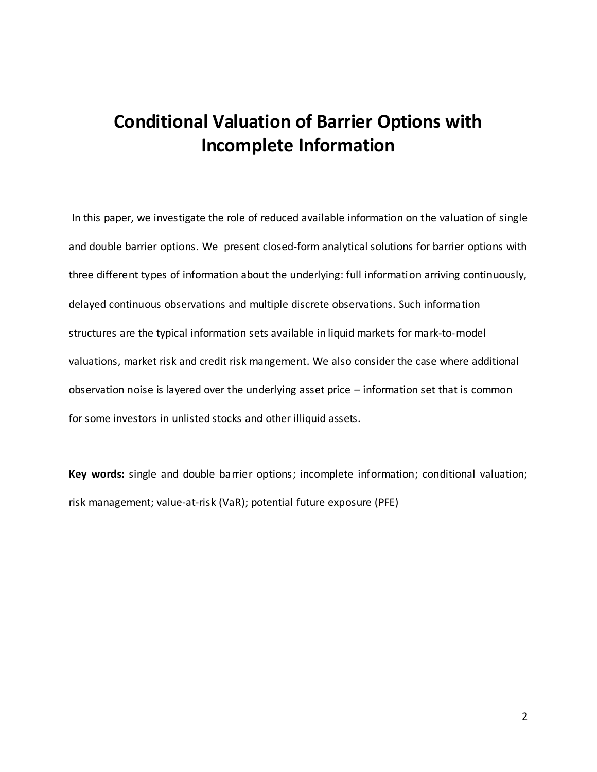# **Conditional Valuation of Barrier Options with Incomplete Information**

In this paper, we investigate the role of reduced available information on the valuation of single and double barrier options. We present closed-form analytical solutions for barrier options with three different types of information about the underlying: full information arriving continuously, delayed continuous observations and multiple discrete observations. Such information structures are the typical information sets available in liquid markets for mark-to-model valuations, market risk and credit risk mangement. We also consider the case where additional observation noise is layered over the underlying asset price – information set that is common for some investors in unlisted stocks and other illiquid assets.

**Key words:** single and double barrier options; incomplete information; conditional valuation; risk management; value-at-risk (VaR); potential future exposure (PFE)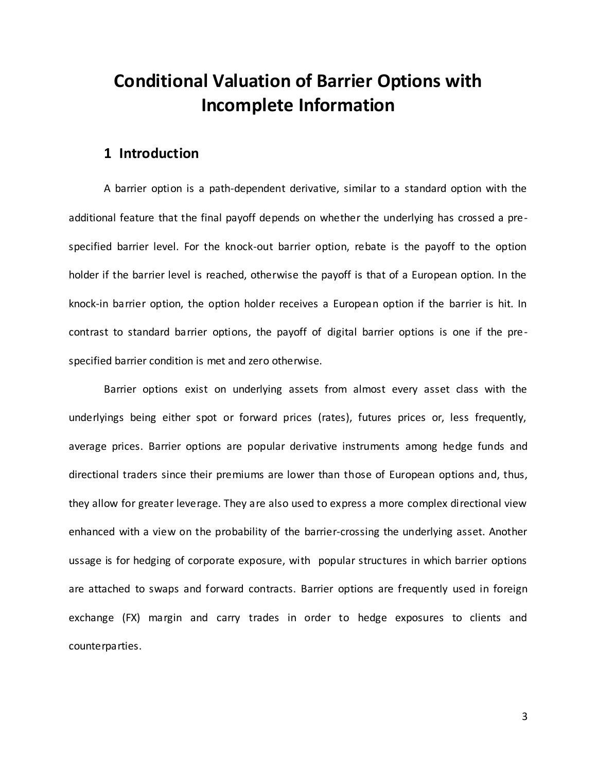# **Conditional Valuation of Barrier Options with Incomplete Information**

## **1 Introduction**

A barrier option is a path-dependent derivative, similar to a standard option with the additional feature that the final payoff depends on whether the underlying has crossed a prespecified barrier level. For the knock-out barrier option, rebate is the payoff to the option holder if the barrier level is reached, otherwise the payoff is that of a European option. In the knock-in barrier option, the option holder receives a European option if the barrier is hit. In contrast to standard barrier options, the payoff of digital barrier options is one if the prespecified barrier condition is met and zero otherwise.

Barrier options exist on underlying assets from almost every asset class with the underlyings being either spot or forward prices (rates), futures prices or, less frequently, average prices. Barrier options are popular derivative instruments among hedge funds and directional traders since their premiums are lower than those of European options and, thus, they allow for greater leverage. They are also used to express a more complex directional view enhanced with a view on the probability of the barrier-crossing the underlying asset. Another ussage is for hedging of corporate exposure, with popular structures in which barrier options are attached to swaps and forward contracts. Barrier options are frequently used in foreign exchange (FX) margin and carry trades in order to hedge exposures to clients and counterparties.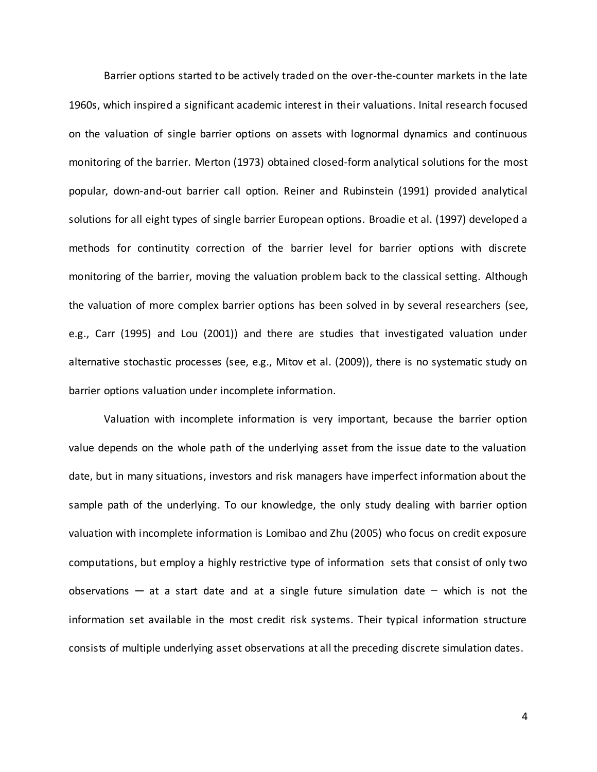Barrier options started to be actively traded on the over-the-counter markets in the late 1960s, which inspired a significant academic interest in their valuations. Inital research focused on the valuation of single barrier options on assets with lognormal dynamics and continuous monitoring of the barrier. Merton (1973) obtained closed-form analytical solutions for the most popular, down-and-out barrier call option. Reiner and Rubinstein (1991) provided analytical solutions for all eight types of single barrier European options. Broadie et al. (1997) developed a methods for continutity correction of the barrier level for barrier options with discrete monitoring of the barrier, moving the valuation problem back to the classical setting. Although the valuation of more complex barrier options has been solved in by several researchers (see, e.g., Carr (1995) and Lou (2001)) and there are studies that investigated valuation under alternative stochastic processes (see, e.g., Mitov et al. (2009)), there is no systematic study on barrier options valuation under incomplete information.

Valuation with incomplete information is very important, because the barrier option value depends on the whole path of the underlying asset from the issue date to the valuation date, but in many situations, investors and risk managers have imperfect information about the sample path of the underlying. To our knowledge, the only study dealing with barrier option valuation with incomplete information is Lomibao and Zhu (2005) who focus on credit exposure computations, but employ a highly restrictive type of information sets that consist of only two observations ─ at a start date and at a single future simulation date − which is not the information set available in the most credit risk systems. Their typical information structure consists of multiple underlying asset observations at all the preceding discrete simulation dates.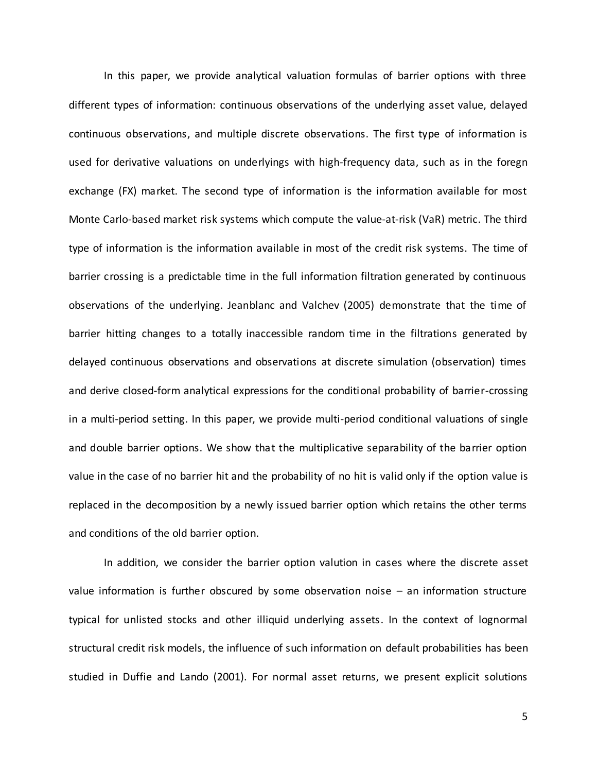In this paper, we provide analytical valuation formulas of barrier options with three different types of information: continuous observations of the underlying asset value, delayed continuous observations, and multiple discrete observations. The first type of information is used for derivative valuations on underlyings with high-frequency data, such as in the foregn exchange (FX) market. The second type of information is the information available for most Monte Carlo-based market risk systems which compute the value-at-risk (VaR) metric. The third type of information is the information available in most of the credit risk systems. The time of barrier crossing is a predictable time in the full information filtration generated by continuous observations of the underlying. Jeanblanc and Valchev (2005) demonstrate that the time of barrier hitting changes to a totally inaccessible random time in the filtrations generated by delayed continuous observations and observations at discrete simulation (observation) times and derive closed-form analytical expressions for the conditional probability of barrier-crossing in a multi-period setting. In this paper, we provide multi-period conditional valuations of single and double barrier options. We show that the multiplicative separability of the barrier option value in the case of no barrier hit and the probability of no hit is valid only if the option value is replaced in the decomposition by a newly issued barrier option which retains the other terms and conditions of the old barrier option.

In addition, we consider the barrier option valution in cases where the discrete asset value information is further obscured by some observation noise – an information structure typical for unlisted stocks and other illiquid underlying assets. In the context of lognormal structural credit risk models, the influence of such information on default probabilities has been studied in Duffie and Lando (2001). For normal asset returns, we present explicit solutions

5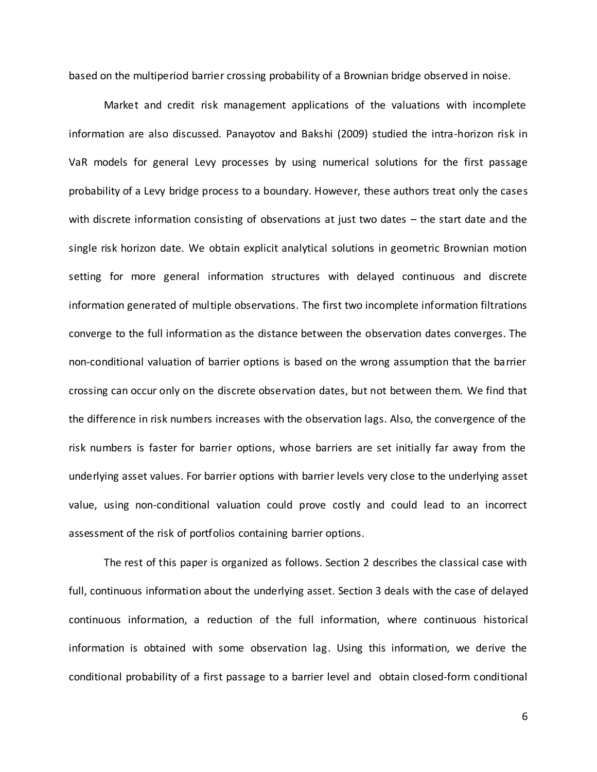based on the multiperiod barrier crossing probability of a Brownian bridge observed in noise.

Market and credit risk management applications of the valuations with incomplete information are also discussed. Panayotov and Bakshi (2009) studied the intra-horizon risk in VaR models for general Levy processes by using numerical solutions for the first passage probability of a Levy bridge process to a boundary. However, these authors treat only the cases with discrete information consisting of observations at just two dates – the start date and the single risk horizon date. We obtain explicit analytical solutions in geometric Brownian motion setting for more general information structures with delayed continuous and discrete information generated of multiple observations. The first two incomplete information filtrations converge to the full information as the distance between the observation dates converges. The non-conditional valuation of barrier options is based on the wrong assumption that the barrier crossing can occur only on the discrete observation dates, but not between them. We find that the difference in risk numbers increases with the observation lags. Also, the convergence of the risk numbers is faster for barrier options, whose barriers are set initially far away from the underlying asset values. For barrier options with barrier levels very close to the underlying asset value, using non-conditional valuation could prove costly and could lead to an incorrect assessment of the risk of portfolios containing barrier options.

The rest of this paper is organized as follows. Section 2 describes the classical case with full, continuous information about the underlying asset. Section 3 deals with the case of delayed continuous information, a reduction of the full information, where continuous historical information is obtained with some observation lag. Using this information, we derive the conditional probability of a first passage to a barrier level and obtain closed-form conditional

6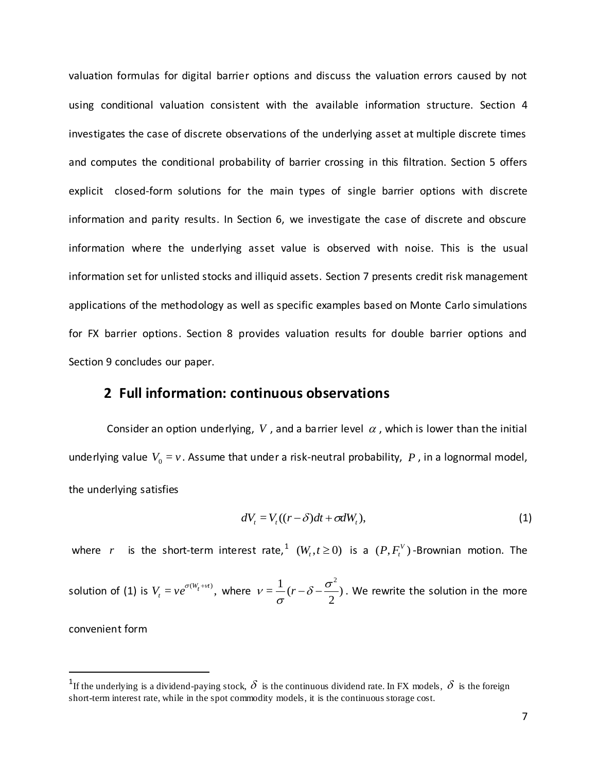valuation formulas for digital barrier options and discuss the valuation errors caused by not using conditional valuation consistent with the available information structure. Section 4 investigates the case of discrete observations of the underlying asset at multiple discrete times and computes the conditional probability of barrier crossing in this filtration. Section 5 offers explicit closed-form solutions for the main types of single barrier options with discrete information and parity results. In Section 6, we investigate the case of discrete and obscure information where the underlying asset value is observed with noise. This is the usual information set for unlisted stocks and illiquid assets. Section 7 presents credit risk management applications of the methodology as well as specific examples based on Monte Carlo simulations for FX barrier options. Section 8 provides valuation results for double barrier options and Section 9 concludes our paper.

## **2 Full information: continuous observations**

Consider an option underlying, V, and a barrier level  $\alpha$ , which is lower than the initial underlying value  $V_0 = v$ . Assume that under a risk-neutral probability,  $P$ , in a lognormal model, the underlying satisfies

$$
dV_t = V_t((r - \delta)dt + \sigma dW_t),
$$
\n(1)

where r is the short-term interest rate,  $^1$   $(W_t, t \ge 0)$  is a  $(P, F_t^V)$ -Brownian motion. The

solution of (1) is  $V_t = v e^{\sigma(W_t + vt)}$ , where  $v = \frac{1}{2}(r - \delta - \frac{\sigma}{2})$ 2  $=\frac{1}{2}$  $\delta - \frac{\sigma^2}{2}$  $v = \frac{1}{\sigma}(r - \delta - \frac{\sigma}{2})$ . We rewrite the solution in the more

convenient form

 $\overline{a}$ 

<sup>&</sup>lt;sup>1</sup>If the underlying is a dividend-paying stock,  $\delta$  is the continuous dividend rate. In FX models,  $\delta$  is the foreign short-term interest rate, while in the spot commodity models, it is the continuous storage cost.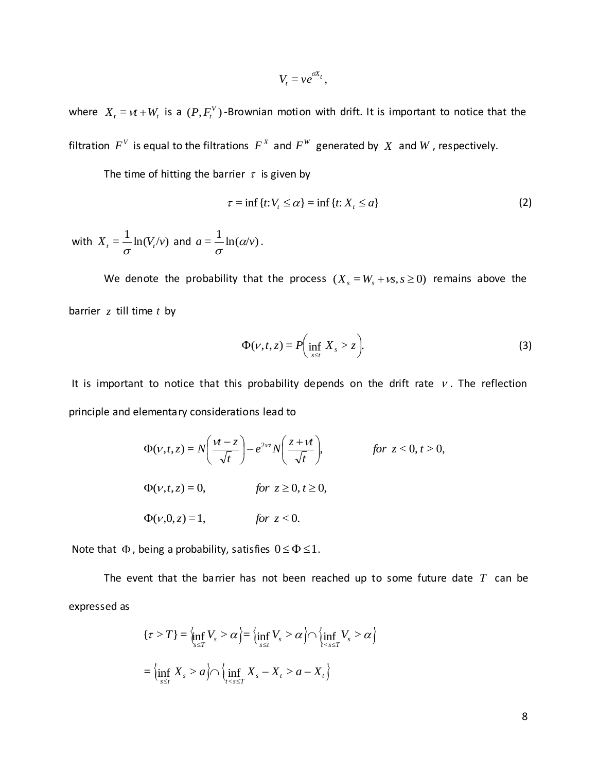$$
V_t = v e^{\sigma X_t},
$$

where  $X_t = vt + W_t$  is a  $(P, F_t^V)$ -Brownian motion with drift. It is important to notice that the filtration  $F^V$  is equal to the filtrations  $F^X$  and  $F^W$  generated by  $X$  and  $W$ , respectively.

The time of hitting the barrier  $\tau$  is given by

$$
\tau = \inf \{ t : V_t \le \alpha \} = \inf \{ t : X_t \le a \}
$$
 (2)

with  $X_{t} = \frac{1}{\sigma} \ln(V_{t}/v)$  and  $a = \frac{1}{\sigma} \ln(\alpha/v)$ .

We denote the probability that the process  $(X_s = W_s + \nu s, s \ge 0)$  remains above the barrier *z* till time *t* by

$$
\Phi(\nu, t, z) = P\left(\inf_{s \le t} X_s > z\right). \tag{3}
$$

It is important to notice that this probability depends on the drift rate  $\nu$ . The reflection principle and elementary considerations lead to

$$
\Phi(\nu, t, z) = N\left(\frac{\nu t - z}{\sqrt{t}}\right) - e^{2\nu z} N\left(\frac{z + \nu t}{\sqrt{t}}\right), \qquad \text{for } z < 0, t > 0,
$$
  

$$
\Phi(\nu, t, z) = 0, \qquad \text{for } z \ge 0, t \ge 0,
$$
  

$$
\Phi(\nu, 0, z) = 1, \qquad \text{for } z < 0.
$$

Note that  $\Phi$ , being a probability, satisfies  $0 \le \Phi \le 1$ .

The event that the barrier has not been reached up to some future date *T* can be expressed as

$$
\{\tau > T\} = \lim_{s \le T} V_s > \alpha \Big\} = \lim_{s \le t} V_s > \alpha \Big\} \bigcap \left\{ \inf_{s \le t} V_s > \alpha \right\}
$$

$$
= \lim_{s \le t} X_s > \alpha \bigcap \left\{ \inf_{t < s \le T} X_s - X_t > \alpha - X_t \right\}
$$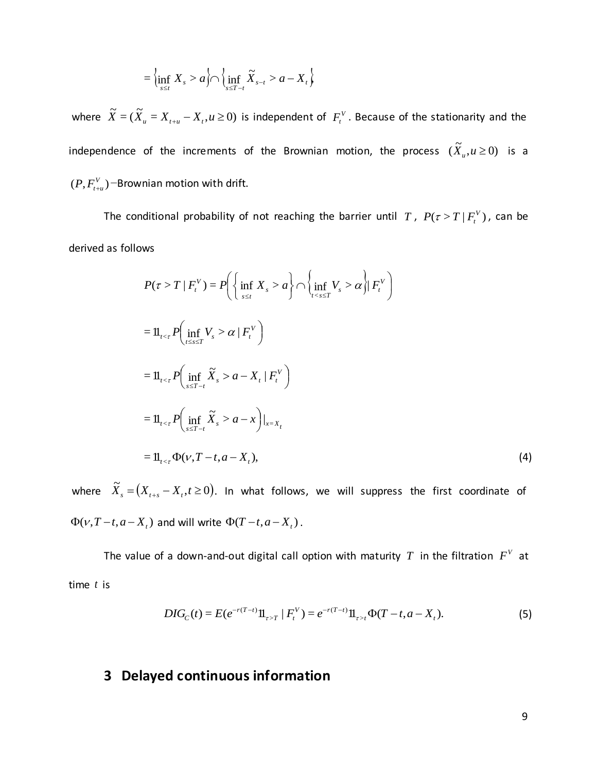$$
= \left\{\inf_{s \le t} X_s > a\right\} \cap \left\{\inf_{s \le T-t} \widetilde{X}_{s-t} > a - X_t\right\}
$$

where  $\widetilde{X} = (\widetilde{X}_u = X_{t+u} - X_t, u \ge 0)$  is independent of  $F_t^V$ . Because of the stationarity and the independence of the increments of the Brownian motion, the process  $(\widetilde{X}_u,u\,{\geq}\,0)$  is a  $(P, F_{t+u}^V)$ −Brownian motion with drift.

The conditional probability of not reaching the barrier until  $T$ ,  $P(\tau > T | F_{t}^{V})$ , can be derived as follows

$$
P(\tau > T | F_t^V) = P\left(\left\{\inf_{s \le t} X_s > a\right\} \cap \left\{\inf_{t < s \le T} V_s > \alpha\right\} | F_t^V\right)
$$
\n
$$
= \mathbb{1}_{t < \tau} P\left(\inf_{t \le s \le T} V_s > \alpha | F_t^V\right)
$$
\n
$$
= \mathbb{1}_{t < \tau} P\left(\inf_{s \le T - t} \widetilde{X}_s > a - X_t | F_t^V\right)
$$
\n
$$
= \mathbb{1}_{t < \tau} P\left(\inf_{s \le T - t} \widetilde{X}_s > a - x\right)|_{x = X_t}
$$
\n
$$
= \mathbb{1}_{t < \tau} \Phi(\nu, T - t, a - X_t), \tag{4}
$$

where  $\widetilde{X}_s = (X_{t+s} - X_t, t \ge 0)$ . In what follows, we will suppress the first coordinate of  $\Phi(\nu, T-t, a-X_t)$  and will write  $\Phi(T-t, a-X_t)$ .

The value of a down-and-out digital call option with maturity  $T$  in the filtration  $F^V$  at time *t* is

$$
DIG_C(t) = E(e^{-r(T-t)}11_{\tau>T} | F_t^V) = e^{-r(T-t)}11_{\tau>t} \Phi(T-t, a-X_t).
$$
 (5)

# **3 Delayed continuous information**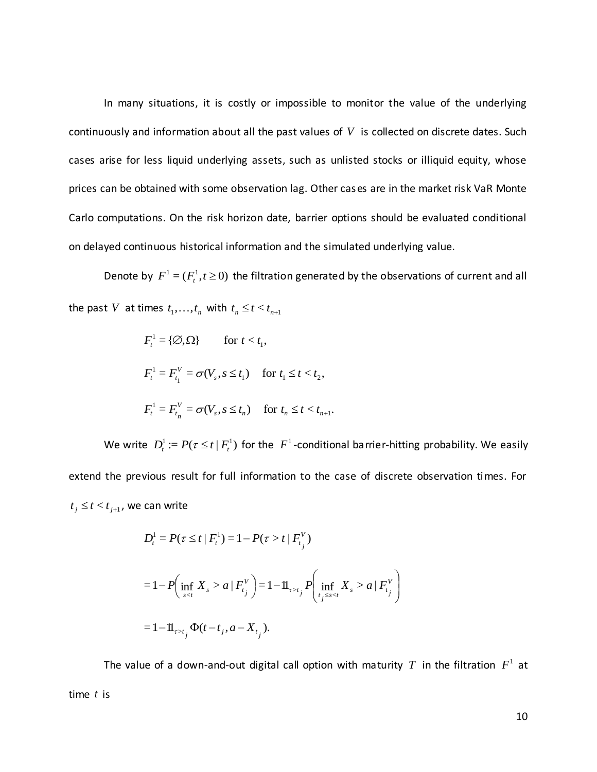In many situations, it is costly or impossible to monitor the value of the underlying continuously and information about all the past values of *V* is collected on discrete dates. Such cases arise for less liquid underlying assets, such as unlisted stocks or illiquid equity, whose prices can be obtained with some observation lag. Other cases are in the market risk VaR Monte Carlo computations. On the risk horizon date, barrier options should be evaluated conditional on delayed continuous historical information and the simulated underlying value.

Denote by  $F^1 = (F^1_t, t \ge 0)$  the filtration generated by the observations of current and all the past V at times  $t_1, \ldots, t_n$  with  $t_n \le t < t_{n+1}$ 

$$
F_t^1 = \{ \emptyset, \Omega \} \quad \text{for } t < t_1,
$$
\n
$$
F_t^1 = F_{t_1}^V = \sigma(V_s, s \le t_1) \quad \text{for } t_1 \le t < t_2,
$$
\n
$$
F_t^1 = F_{t_n}^V = \sigma(V_s, s \le t_n) \quad \text{for } t_n \le t < t_{n+1}.
$$

We write  $D_t^1 := P(\tau \leq t \mid F_t^1)$  for the  $F^1$ -conditional barrier-hitting probability. We easily extend the previous result for full information to the case of discrete observation times. For  $t_j \leq t < t_{j+1}$ , we can write

$$
D_{t}^{1} = P(\tau \leq t | F_{t}^{1}) = 1 - P(\tau > t | F_{t_{j}}^{V})
$$
  
= 1 - P\left(\inf\_{s < t} X\_{s} > a | F\_{t\_{j}}^{V}\right) = 1 - 11\_{\tau > t\_{j}} P\left(\inf\_{t\_{j} \leq s < t} X\_{s} > a | F\_{t\_{j}}^{V}\right)  
= 1 - 11\_{\tau > t\_{j}} \Phi(t - t\_{j}, a - X\_{t\_{j}}).

The value of a down-and-out digital call option with maturity  $T$  in the filtration  $F^1$  at time *t* is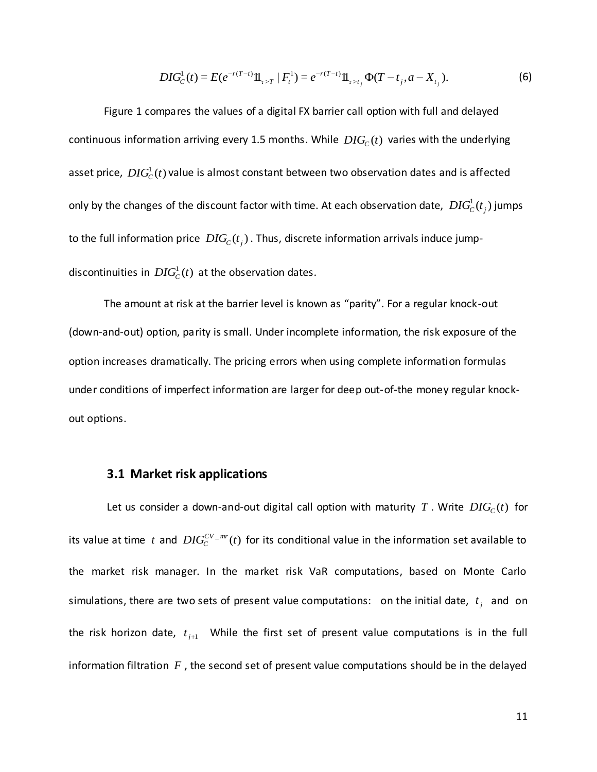$$
DIG_C^1(t) = E(e^{-r(T-t)}11_{\tau>T} | F_t^1) = e^{-r(T-t)}11_{\tau>t_j} \Phi(T-t_j, a-X_{t_j}).
$$
\n(6)

Figure 1 compares the values of a digital FX barrier call option with full and delayed continuous information arriving every 1.5 months. While  $DIG_C(t)$  varies with the underlying asset price,  $\,DIG^{1}_{C}(t)$  value is almost constant between two observation dates and is affected only by the changes of the discount factor with time. At each observation date,  $\, DIG_C^1(t_j)$  jumps to the full information price  $\,DIG_{\!C}(t_j)$  . Thus, discrete information arrivals induce jumpdiscontinuities in  $\mathit{DIG}^1_C(t)$  at the observation dates.

The amount at risk at the barrier level is known as "parity". For a regular knock-out (down-and-out) option, parity is small. Under incomplete information, the risk exposure of the option increases dramatically. The pricing errors when using complete information formulas under conditions of imperfect information are larger for deep out-of-the money regular knockout options.

#### **3.1 Market risk applications**

(*t*) =  $E(e^{-\pi(T-s)})\mathbf{I}_{F,s'} = e^{-\pi(T-s)}\mathbf{II}_{F,s'}\Phi(T-f_{s},a-K_{s})$ . (6<br>
s the values of a digital FX barrier call option with full and delayed<br>
s the values of a digital FX barrier call option with full and delayed<br>
arriving every Let us consider a down-and-out digital call option with maturity  $T$  . Write  $DIG<sub>C</sub>(t)$  for its value at time t and  $DIG_C^{CV-mr}(t)$  $c^{\text{CCV-mr}}(t)$  for its conditional value in the information set available to the market risk manager. In the market risk VaR computations, based on Monte Carlo simulations, there are two sets of present value computations: on the initial date,  $t_j$  and on the risk horizon date,  $t_{j+1}$  While the first set of present value computations is in the full information filtration  $F$ , the second set of present value computations should be in the delayed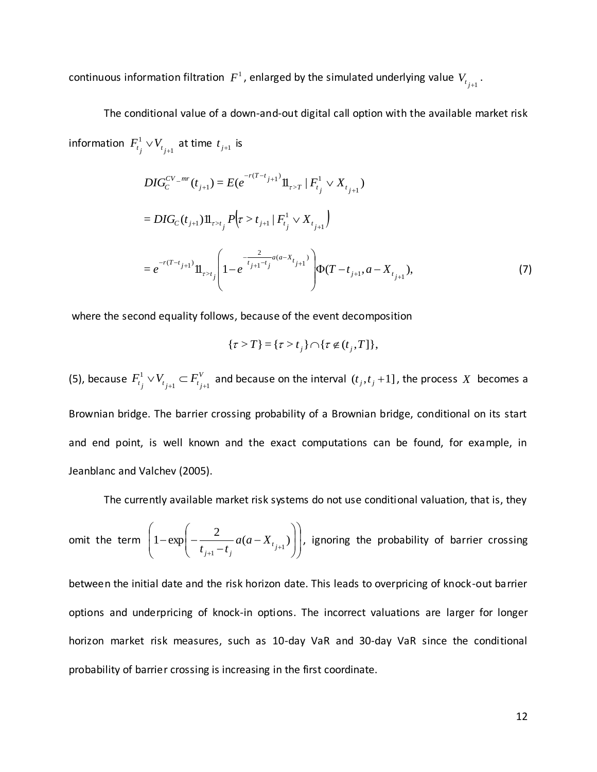continuous information filtration  $|F^1|$ , enlarged by the simulated underlying value  $V_{t_{j+1}}$ .

The conditional value of a down-and-out digital call option with the available market risk information  $\,F^1_{t_j} \vee V_{t_{j+1}}\,$ 1  $F^1_{t_j} \vee V_{t_{j+1}}$  at time  $t_{j+1}$  is

$$
DIG_C^{CV-mr}(t_{j+1}) = E(e^{-r(T-t_{j+1})}\mathbb{1}_{\tau>T} | F_{t_j}^1 \vee X_{t_{j+1}})
$$
  
= 
$$
DIG_C(t_{j+1})\mathbb{1}_{\tau>t_j} P(\tau > t_{j+1} | F_{t_j}^1 \vee X_{t_{j+1}})
$$
  
= 
$$
e^{-r(T-t_{j+1})}\mathbb{1}_{\tau>t_j} \left(1 - e^{-\frac{2}{t_{j+1}-t_j}a(a-X_{t_{j+1}})}\right) \Phi(T-t_{j+1}, a-X_{t_{j+1}}),
$$
 (7)

where the second equality follows, because of the event decomposition

$$
\{\tau > T\} = \{\tau > t_j\} \cap \{\tau \notin (t_j, T]\},\
$$

(5), because  $F_t^1 \vee V_{t+1} \subset F_t^V$  $F_{t_j}^1 \vee V_{t_{j+1}} \subset F_{t_{j+1}}^V$ 1  $\vee V_{t_{j+1}} \subset F_{t_{j+1}}^V$  and because on the interval  $(t_j, t_j + 1]$ , the process X becomes a Brownian bridge. The barrier crossing probability of a Brownian bridge, conditional on its start and end point, is well known and the exact computations can be found, for example, in Jeanblanc and Valchev (2005).

The currently available market risk systems do not use conditional valuation, that is, they

omit the term 
$$
\left(1-\exp\left(-\frac{2}{t_{j+1}-t_j}a(a-X_{t_{j+1}})\right)\right)
$$
, ignoring the probability of barrier crossing

between the initial date and the risk horizon date. This leads to overpricing of knock-out barrier options and underpricing of knock-in options. The incorrect valuations are larger for longer horizon market risk measures, such as 10-day VaR and 30-day VaR since the conditional probability of barrier crossing is increasing in the first coordinate.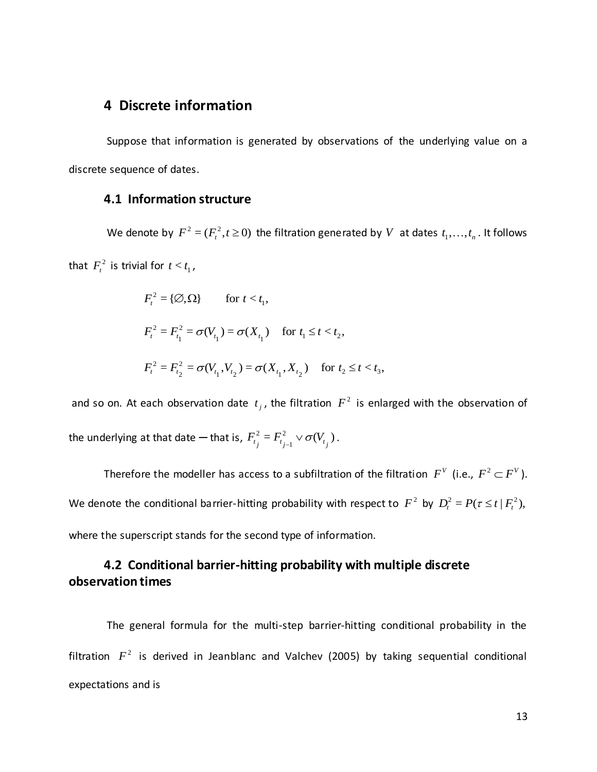#### **4 Discrete information**

Suppose that information is generated by observations of the underlying value on a discrete sequence of dates.

#### **4.1 Information structure**

We denote by  $F^2 = (F_t^2, t \ge 0)$  the filtration generated by V at dates  $t_1, \ldots, t_n$ . It follows that  $F_t^2$  is trivial for  $t < t_1$ ,

$$
F_t^2 = \{ \emptyset, \Omega \} \quad \text{for } t < t_1,
$$
\n
$$
F_t^2 = F_{t_1}^2 = \sigma(V_{t_1}) = \sigma(X_{t_1}) \quad \text{for } t_1 \le t < t_2,
$$
\n
$$
F_t^2 = F_{t_2}^2 = \sigma(V_{t_1}, V_{t_2}) = \sigma(X_{t_1}, X_{t_2}) \quad \text{for } t_2 \le t < t_3,
$$

and so on. At each observation date  $t_j$ , the filtration  $F^2$  is enlarged with the observation of the underlying at that date — that is,  $F_{t_1}^2 = F_{t_{n-1}}^2 \vee \sigma(V_{t_n})$ 1 2  $F_{t_j}^2 = F_{t_{j-1}}^2 \vee \sigma(V_{t_j}).$ 

Therefore the modeller has access to a subfiltration of the filtration  $F^V$  (i.e.,  $F^2 \subset F^V$ ). We denote the conditional barrier-hitting probability with respect to  $F^2$  by  $D_t^2 = P(\tau \le t | F_t^2)$ , where the superscript stands for the second type of information.

# **4.2 Conditional barrier-hitting probability with multiple discrete observation times**

The general formula for the multi-step barrier-hitting conditional probability in the filtration  $F^2$  is derived in Jeanblanc and Valchev (2005) by taking sequential conditional expectations and is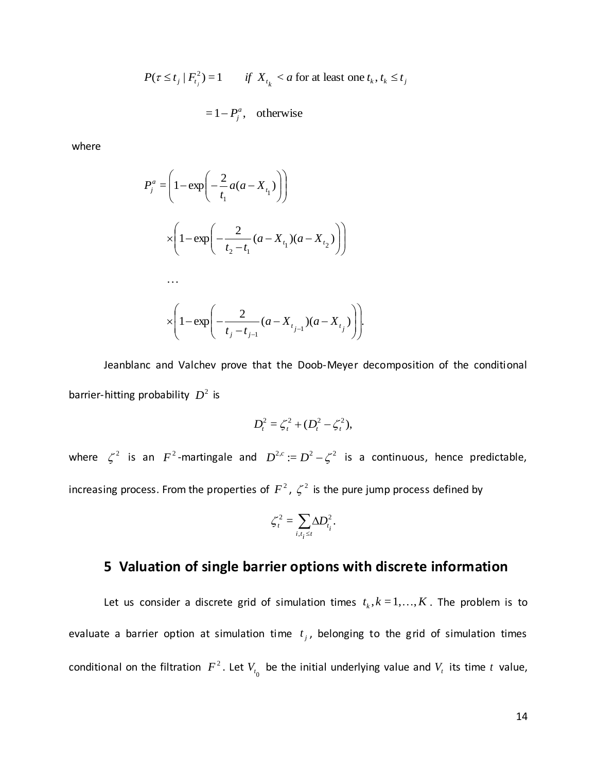$$
P(\tau \le t_j \mid F_{t_j}^2) = 1 \qquad \text{if } X_{t_k} < a \text{ for at least one } t_k, t_k \le t_j
$$

$$
= 1 - P_j^a, \quad \text{otherwise}
$$

where

$$
P_j^a = \left(1 - \exp\left(-\frac{2}{t_1}a(a - X_{t_1})\right)\right)
$$
  
 
$$
\times \left(1 - \exp\left(-\frac{2}{t_2 - t_1}(a - X_{t_1})(a - X_{t_2})\right)\right)
$$
  
...  

$$
\times \left(1 - \exp\left(-\frac{2}{t_j - t_{j-1}}(a - X_{t_{j-1}})(a - X_{t_j})\right)\right).
$$

Jeanblanc and Valchev prove that the Doob-Meyer decomposition of the conditional barrier-hitting probability  $D^2$  is

$$
D_t^2 = \zeta_t^2 + (D_t^2 - \zeta_t^2),
$$

where  $\zeta^2$  is an  $F^2$ -martingale and  $D^{2,c} := D^2 - \zeta^2$  is a continuous, hence predictable, increasing process. From the properties of  $F^2$ ,  $\zeta^2$  is the pure jump process defined by

$$
\zeta_t^2 = \sum_{i,t_i \leq t} \Delta D_{t_i}^2.
$$

# **5 Valuation of single barrier options with discrete information**

Let us consider a discrete grid of simulation times  $t_k$ ,  $k = 1,...,K$ . The problem is to evaluate a barrier option at simulation time  $t_j$ , belonging to the grid of simulation times conditional on the filtration  $F^2$ . Let  $V_{t_0}$  be the initial underlying value and  $V_t$  its time  $t$  value,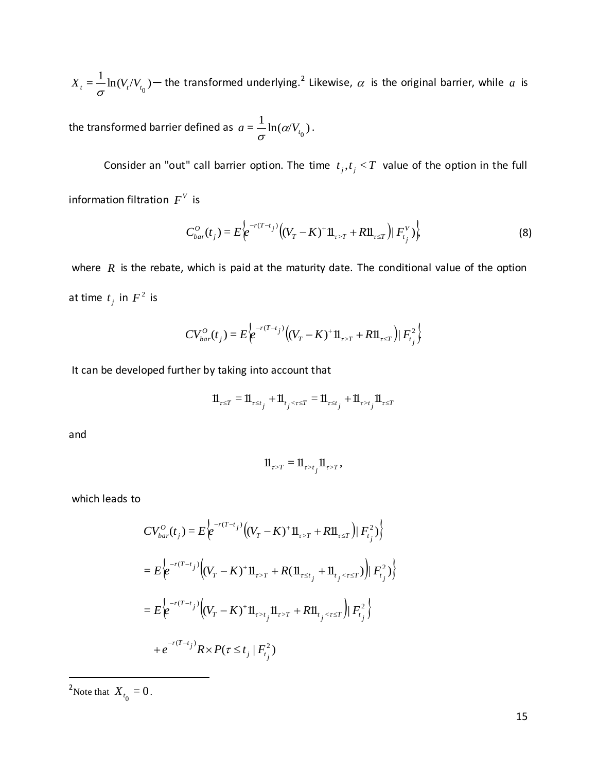$X_t = \frac{1}{\sigma} \ln(V_t/V_{t_0})$  — the transformed underlying.<sup>2</sup> Likewise,  $\alpha$  is the original barrier, while  $a$  is

the transformed barrier defined as  $a = \frac{1}{\sigma}\ln(\alpha/V_{_{l_0}})$ .

Consider an "out" call barrier option. The time  $t_j, t_j < T$  value of the option in the full information filtration  $F^V$  is

$$
C_{bar}^{O}(t_j) = E\left\{e^{-r(T-t_j)}\left((V_T - K)^+ 1\!1_{\tau > T} + R1\!1_{\tau \le T}\right)|F_{t_j}^V\right\}\right\}
$$
(8)

where  $R$  is the rebate, which is paid at the maturity date. The conditional value of the option at time  $t_j$  in  $F^2$  is

$$
CV_{bar}^{O}(t_j) = E\bigg\{e^{-r(T-t_j)}\bigg((V_T - K)^+ 11\!\!1_{\tau>T} + R11\!\!1_{\tau\leq T}\bigg)|\,F_{t_j}^2\bigg\}
$$

It can be developed further by taking into account that

$$
\mathbf{1}\!\mathbf{1}_{\tau\leq T}=\mathbf{1}\!\mathbf{1}_{\tau\leq t_j}+\mathbf{1}\!\mathbf{1}_{t_j<\tau\leq T}=\mathbf{1}\!\mathbf{1}_{\tau\leq t_j}+\mathbf{1}\!\mathbf{1}_{\tau>t_j}\mathbf{1}\!\mathbf{1}_{\tau\leq T}
$$

and

$$
\mathbf{1}\!\mathbf{1}_{\tau>T} = \mathbf{1}\!\mathbf{1}_{\tau>t_j}\mathbf{1}\!\mathbf{1}_{\tau>T},
$$

which leads to

$$
CV_{bar}^{O}(t_{j}) = E \Biggl\{ e^{-r(T-t_{j})} \Biggl( (V_{T} - K)^{+} 11_{\tau > T} + R11_{\tau \le T} \Biggr) | F_{t_{j}}^{2} \Biggr) \Biggr\}
$$
  
= 
$$
E \Biggl\{ e^{-r(T-t_{j})} \Biggl( (V_{T} - K)^{+} 11_{\tau > T} + R(11_{\tau \le t_{j}} + 11_{\tau_{j} < \tau \le T}) \Biggr) | F_{t_{j}}^{2} \Biggr) \Biggr\}
$$
  
= 
$$
E \Biggl\{ e^{-r(T-t_{j})} \Biggl( (V_{T} - K)^{+} 11_{\tau > t_{j}} 11_{\tau > T} + R11_{\tau_{j} < \tau \le T} \Biggr) | F_{t_{j}}^{2} \Biggr\}
$$
  
+ 
$$
e^{-r(T-t_{j})} R \times P(\tau \le t_{j} | F_{t_{j}}^{2})
$$

<sup>2</sup>Note that  $X_{t_0} = 0$ .

 $\overline{a}$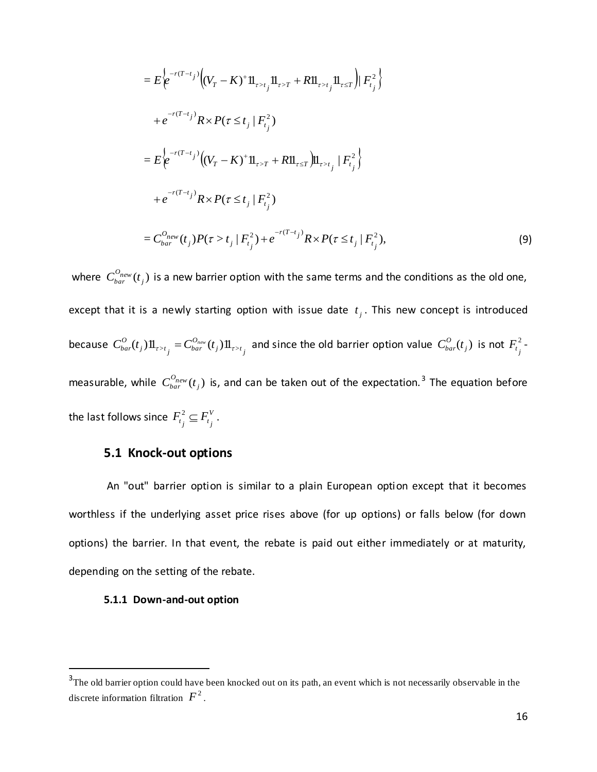$$
= E \Big[ e^{-r(T-t_j)} \Big( (V_T - K)^+ \mathbb{II}_{r \times r_j} \mathbb{II}_{r \times r} + R \mathbb{II}_{r \times r_j} \mathbb{II}_{r \times r} \Big) \Big| F_i^2 \Big\}
$$
  
\n
$$
+ e^{-r(T-t_j)} R \times P(\tau \le t_j | F_{t_j}^2)
$$
  
\n
$$
= E \Big[ e^{-r(T-t_j)} (V_T - K)^+ \mathbb{II}_{r \times r} + R \mathbb{II}_{r \times r_j} \Big] \mathbb{II}_{r \times t_j} | F_{t_j}^2 \Big]
$$
  
\n
$$
+ e^{-r(T-t_j)} R \times P(\tau \le t_j | F_{t_j}^2)
$$
  
\n
$$
= C_{bar}^{0_{max}}(t_j) P(\tau > t_j | F_{t_j}^2) + e^{-r(T-t_j)} R \times P(\tau \le t_j | F_{t_j}^2),
$$
  
\n
$$
= C_{bar}^{0_{max}}(t_j) P(\tau > t_j | F_{t_j}^2) + e^{-r(T-t_j)} R \times P(\tau \le t_j | F_{t_j}^2),
$$
  
\n
$$
= C_{bar}^{0_{max}}(t_j) P(\tau > t_j | F_{t_j}^2) + e^{-r(T-t_j)} R \times P(\tau \le t_j | F_{t_j}^2),
$$
  
\n
$$
= C_{bar}^{0_{max}}(t_j) \text{ is a new barrier option with issue date } t_j. \text{ This new concept is introduced\nis a newly starting option with issue date } t_j. \text{ This new concept is introduced\nis a newly starting option with issue date } t_j. \text{ This new concept is introduced\nis a newly starting option with issue date } t_j. \text{ This new concept is introduced\n
$$
C_{bar}^{0_{max}}(t_j) \text{ is, and can be taken out of the expectation.3 The equation before\nsince  $F_{t_j}^2 \subseteq F_{t_j}^V$ .  
\n
$$
\text{node} \text{-sub of } \mathbb{R}
$$
  
\n
$$
\text{node} \text{-sub of } \mathbb{R}
$$
  
\n
$$
\text{where } \text{in } \mathbb{R}
$$
  
\n
$$
\text{Note: } \mathbb{R}
$$
  
\n
$$
\text{node} \text{ is a new barrier option}
$$
$$
$$

where  $C^{O_{new}}_{bar}(t_j)$  is a new barrier option with the same terms and the conditions as the old one, except that it is a newly starting option with issue date  $t_j$ . This new concept is introduced because  $C^{O}_{bar}(t_{j})1\!{\rm l}_{\tau>t_{j}}=C^{O_{new}}_{bar}(t_{j})1\!{\rm l}_{\tau>t_{j}}$ *O*  $\sum_{j}$   $\mathbf{H}_{\tau>t}$   $\sum_{j}$   $-\mathbf{U}_{bar}$  $C_{bar}^{O}(t_j)1\!\!1_{\tau>t_j} = C_{bar}^{O_{new}}(t_j)1\!\!1_{\tau>t_j}$  and since the old barrier option value  $C_{bar}^{O}(t_j)$  is not  $F_{t_j}^{2}$  $F_{t_j}^2$  measurable, while  $C_{bar}^{O_{new}}(t_j)$  is, and can be taken out of the expectation.<sup>3</sup> The equation before the last follows since  $F_{t_1}^2 \subseteq F_{t_2}^V$  $F_{t_j}^2 \subseteq F_{t_j}^V$ .

## **5.1 Knock-out options**

An "out" barrier option is similar to a plain European option except that it becomes worthless if the underlying asset price rises above (for up options) or falls below (for down options) the barrier. In that event, the rebate is paid out either immediately or at maturity, depending on the setting of the rebate.

#### **5.1.1 Down-and-out option**

 $\overline{a}$ 

 $3$ The old barrier option could have been knocked out on its path, an event which is not necessarily observable in the discrete information filtration  $F^2$ .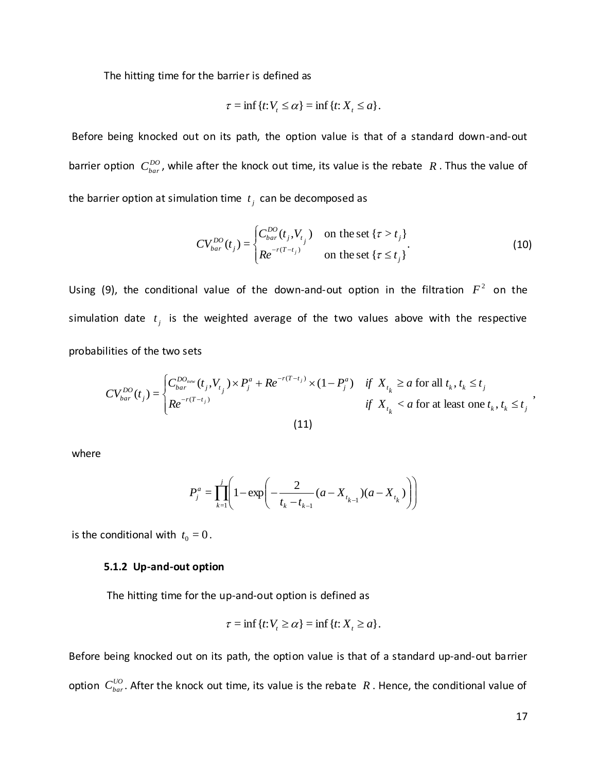The hitting time for the barrier is defined as

$$
\tau = \inf \{ t : V_t \leq \alpha \} = \inf \{ t : X_t \leq \alpha \}.
$$

Before being knocked out on its path, the option value is that of a standard down-and-out barrier option  $C^{DO}_{bar}$ , while after the knock out time, its value is the rebate  $R$ . Thus the value of the barrier option at simulation time  $t_j$  can be decomposed as

$$
CV_{bar}^{DO}(t_j) = \begin{cases} C_{bar}^{DO}(t_j, V_{t_j}) & \text{on the set } \{\tau > t_j\} \\ Re^{-r(T-t_j)} & \text{on the set } \{\tau \le t_j\} \end{cases}
$$
 (10)

Using (9), the conditional value of the down-and-out option in the filtration  $F^2$  on the simulation date  $t_j$  is the weighted average of the two values above with the respective probabilities of the two sets

$$
CV_{bar}^{DO}(t_j) = \begin{cases} C_{bar}^{DO_{new}}(t_j, V_{t_j}) \times P_j^a + Re^{-r(T-t_j)} \times (1 - P_j^a) & \text{if } X_{t_k} \ge a \text{ for all } t_k, t_k \le t_j\\ Re^{-r(T-t_j)} & \text{if } X_{t_k} < a \text{ for at least one } t_k, t_k \le t_j \end{cases}
$$
\n
$$
(11)
$$

where

$$
P_j^a = \prod_{k=1}^j \left( 1 - \exp\left( -\frac{2}{t_k - t_{k-1}} (a - X_{t_{k-1}}) (a - X_{t_k}) \right) \right)
$$

is the conditional with  $t_0 = 0$ .

#### **5.1.2 Up-and-out option**

The hitting time for the up-and-out option is defined as

$$
\tau = \inf \{ t : V_t \ge \alpha \} = \inf \{ t : X_t \ge a \}.
$$

Before being knocked out on its path, the option value is that of a standard up-and-out barrier option  $C^{UO}_{bar}$ . After the knock out time, its value is the rebate  $R$  . Hence, the conditional value of

,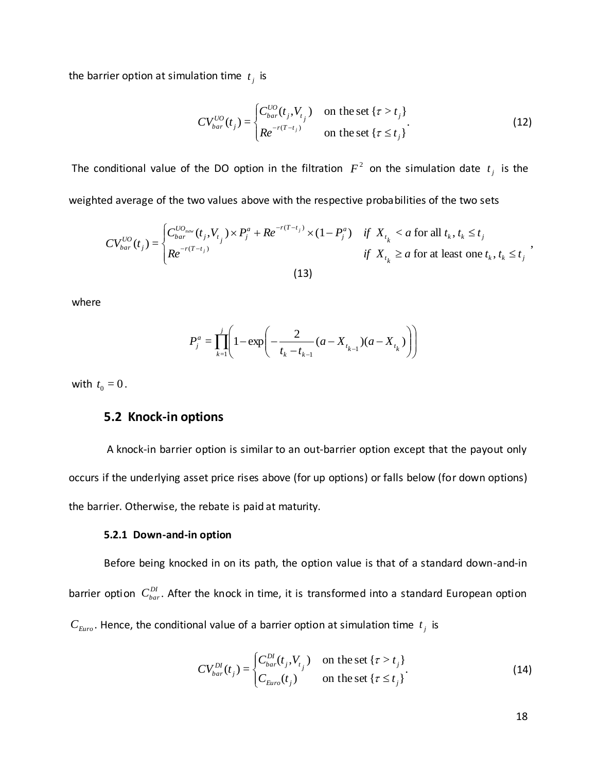the barrier option at simulation time  $t_j$  is

$$
CV_{bar}^{UO}(t_j) = \begin{cases} C_{bar}^{UO}(t_j, V_{t_j}) & \text{on the set } \{\tau > t_j\} \\ Re^{-r(T-t_j)} & \text{on the set } \{\tau \le t_j\} \end{cases}
$$
 (12)

The conditional value of the DO option in the filtration  $F^2$  on the simulation date  $t_j$  is the weighted average of the two values above with the respective probabilities of the two sets

$$
CV_{bar}^{UO}(t_j) = \begin{cases} C_{bar}^{UO_{nav}}(t_j, V_{t_j}) \times P_j^a + Re^{-r(T-t_j)} \times (1 - P_j^a) & \text{if } X_{t_k} < a \text{ for all } t_k, t_k \le t_j \\ Re^{-r(T-t_j)} & \text{if } X_{t_k} \ge a \text{ for at least one } t_k, t_k \le t_j \end{cases},
$$
\n(13)

where

$$
P_j^a = \prod_{k=1}^j \left( 1 - \exp\left( -\frac{2}{t_k - t_{k-1}} (a - X_{t_{k-1}}) (a - X_{t_k}) \right) \right)
$$

with  $t_0 = 0$ .

#### **5.2 Knock-in options**

A knock-in barrier option is similar to an out-barrier option except that the payout only occurs if the underlying asset price rises above (for up options) or falls below (for down options) the barrier. Otherwise, the rebate is paid at maturity.

#### **5.2.1 Down-and-in option**

Before being knocked in on its path, the option value is that of a standard down-and-in barrier option  $C^{DI}_{bar}$ . After the knock in time, it is transformed into a standard European option  $C_{\text{Error}}$ . Hence, the conditional value of a barrier option at simulation time  $t_j$  is

$$
CV_{bar}^{DI}(t_j) = \begin{cases} C_{bar}^{DI}(t_j, V_{t_j}) & \text{on the set } \{\tau > t_j\} \\ C_{Euro}(t_j) & \text{on the set } \{\tau \le t_j\} \end{cases}
$$
 (14)

18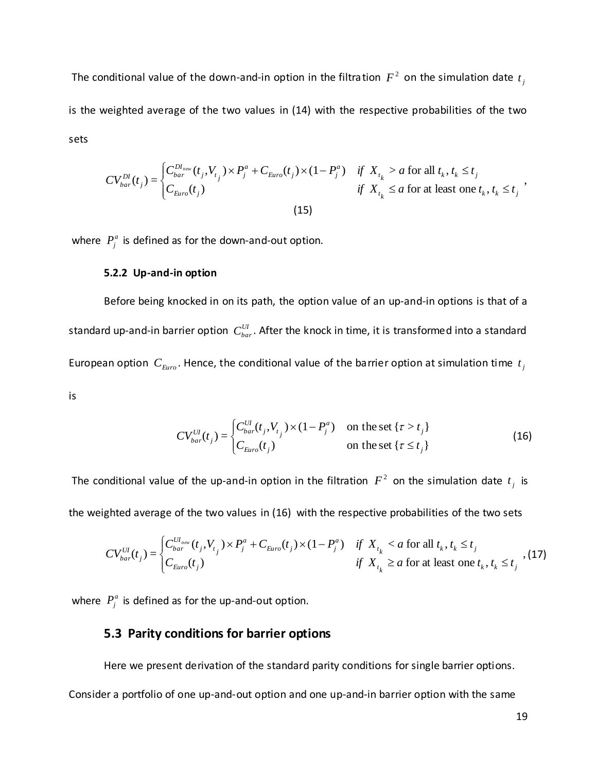The conditional value of the down-and-in option in the filtration  $F^2$  on the simulation date  $t_j$ is the weighted average of the two values in (14) with the respective probabilities of the two sets

$$
CV_{bar}^{DI}(t_j) = \begin{cases} C_{bar}^{DI_{nov}}(t_j, V_{t_j}) \times P_j^a + C_{Euro}(t_j) \times (1 - P_j^a) & \text{if } X_{t_k} > a \text{ for all } t_k, t_k \le t_j \\ C_{Euro}(t_j) & \text{if } X_{t_k} \le a \text{ for at least one } t_k, t_k \le t_j \end{cases},
$$
\n
$$
(15)
$$

where  $P_j^a$  is defined as for the down-and-out option.

#### **5.2.2 Up-and-in option**

Before being knocked in on its path, the option value of an up-and-in options is that of a standard up-and-in barrier option  $\,C^{UI}_{bar}$ . After the knock in time, it is transformed into a standard European option  $C_{Euro}$ . Hence, the conditional value of the barrier option at simulation time  $t_j$ is

$$
CV_{bar}^{UI}(t_j) = \begin{cases} C_{bar}^{UI}(t_j, V_{t_j}) \times (1 - P_j^a) & \text{on the set } \{\tau > t_j\} \\ C_{Euro}(t_j) & \text{on the set } \{\tau \le t_j\} \end{cases}
$$
(16)

The conditional value of the up-and-in option in the filtration  $|F^2|$  on the simulation date  $t_j$  is the weighted average of the two values in (16) with the respective probabilities of the two sets

$$
CV_{bar}^{UI}(t_j) = \begin{cases} C_{bar}^{UI_{new}}(t_j, V_{t_j}) \times P_j^a + C_{Euro}(t_j) \times (1 - P_j^a) & \text{if } X_{t_k} < a \text{ for all } t_k, t_k \le t_j \\ C_{Euro}(t_j) & \text{if } X_{t_k} \ge a \text{ for at least one } t_k, t_k \le t_j \end{cases}
$$
 (17)

where  $P_j^a$  is defined as for the up-and-out option.

## **5.3 Parity conditions for barrier options**

Here we present derivation of the standard parity conditions for single barrier options. Consider a portfolio of one up-and-out option and one up-and-in barrier option with the same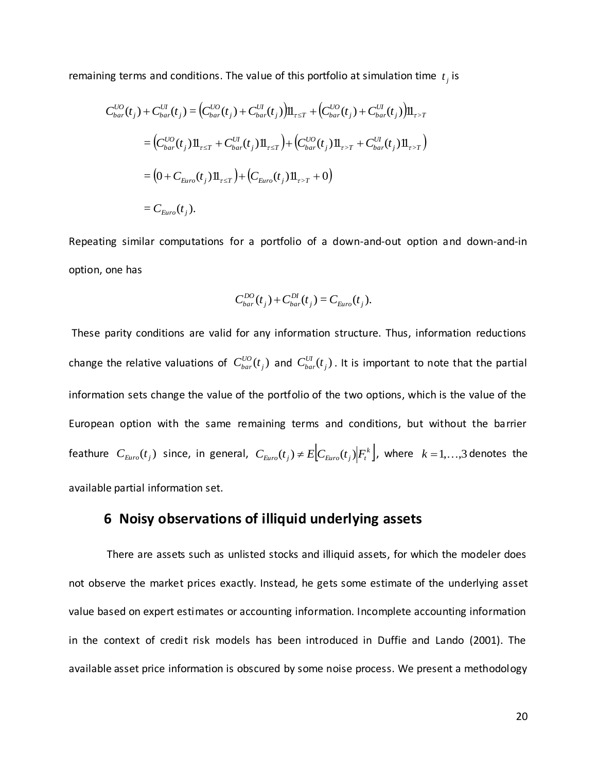remaining terms and conditions. The value of this portfolio at simulation time  $t_j$  is

$$
C_{bar}(t_j) + C_{bar}(t_j) = (C_{bar}(t_j) + C_{bar}(t_j))\mathbb{I}_{\tau \leq T} + (C_{bar}(t_j) + C_{bar}(t_j))\mathbb{I}_{\tau > T}
$$
  
\n
$$
= (C_{bar}(t_j)\mathbb{I}_{\tau \leq T} + C_{bar}(t_j)\mathbb{I}_{\tau \leq T}) + (C_{bar}(t_j)\mathbb{I}_{\tau > T} + C_{bar}(t_j)\mathbb{I}_{\tau > T})
$$
  
\n
$$
= (0 + C_{\text{Euro}}(t_j)\mathbb{I}_{\tau \leq T}) + (C_{\text{Euro}}(t_j)\mathbb{I}_{\tau > T} + 0)
$$
  
\n
$$
= C_{\text{Euro}}(t_j).
$$

Repeating similar computations for a portfolio of a down-and-out option and down-and-in option, one has

$$
C_{bar}^{DO}(t_j) + C_{bar}^{DI}(t_j) = C_{Euro}(t_j).
$$

These parity conditions are valid for any information structure. Thus, information reductions change the relative valuations of  $C^{UO}_{bar}(t_j)$  and  $C^{UI}_{bar}(t_j)$ . It is important to note that the partial information sets change the value of the portfolio of the two options, which is the value of the European option with the same remaining terms and conditions, but without the barrier feathure  $C_{Euro}(t_j)$  since, in general,  $C_{Euro}(t_j) \neq E$  $C_{Euro}(t_j)$  $F_t^k$ , where  $k = 1,...,3$  denotes the available partial information set.

## **6 Noisy observations of illiquid underlying assets**

There are assets such as unlisted stocks and illiquid assets, for which the modeler does not observe the market prices exactly. Instead, he gets some estimate of the underlying asset value based on expert estimates or accounting information. Incomplete accounting information in the context of credit risk models has been introduced in Duffie and Lando (2001). The available asset price information is obscured by some noise process. We present a methodology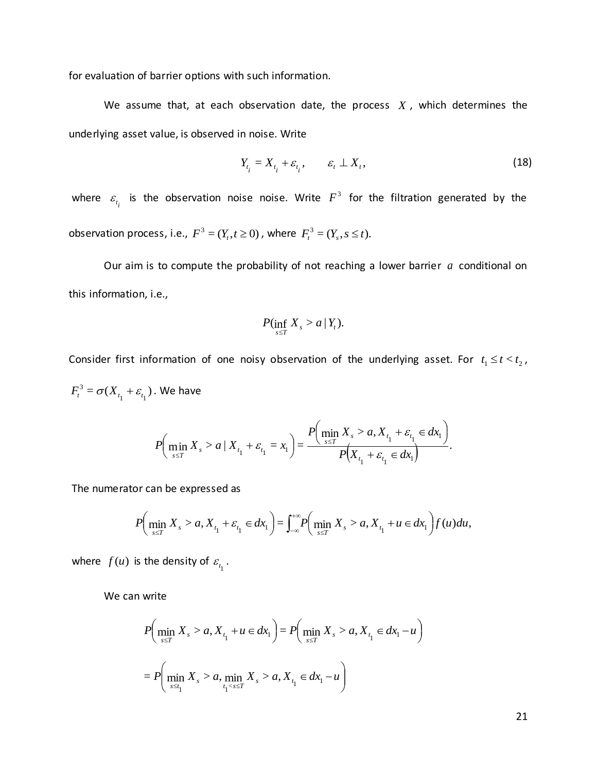for evaluation of barrier options with such information.

We assume that, at each observation date, the process  $X$ , which determines the underlying asset value, is observed in noise. Write

$$
Y_{t_i} = X_{t_i} + \varepsilon_{t_i}, \qquad \varepsilon_t \perp X_t,
$$
\n(18)

where  $\varepsilon_{t_i}$  is the observation noise noise. Write  $F^3$  for the filtration generated by the observation process, i.e.,  $F^3 = (Y_t, t \ge 0)$ , where  $F^3_t = (Y_s, s \le t)$ .

Our aim is to compute the probability of not reaching a lower barrier *a* conditional on this information, i.e.,

$$
P(\inf_{s\leq T} X_s > a \,|\, Y_t).
$$

Consider first information of one noisy observation of the underlying asset. For  $t_1 \leq t < t_2$ ,  $F_t^3 = \sigma(X_{t_1} + \varepsilon_{t_1})$ . We have

$$
P\left(\min_{s\leq T} X_s > a \mid X_{t_1} + \varepsilon_{t_1} = x_1\right) = \frac{P\left(\min_{s\leq T} X_s > a, X_{t_1} + \varepsilon_{t_1} \in dx_1\right)}{P\left(X_{t_1} + \varepsilon_{t_1} \in dx_1\right)}.
$$

The numerator can be expressed as

$$
P\Big(\min_{s \leq T} X_s > a, X_{t_1} + \varepsilon_{t_1} \in dx_1\Big) = \int_{-\infty}^{+\infty} P\Big(\min_{s \leq T} X_s > a, X_{t_1} + u \in dx_1\Big) f(u) du,
$$

where  $f(u)$  is the density of  $\varepsilon_{_{t_1}}$ .

We can write

$$
P\left(\min_{s \le T} X_s > a, X_{t_1} + u \in dx_1\right) = P\left(\min_{s \le T} X_s > a, X_{t_1} \in dx_1 - u\right)
$$
  
= 
$$
P\left(\min_{s \le t_1} X_s > a, \min_{t_1 < s \le T} X_s > a, X_{t_1} \in dx_1 - u\right)
$$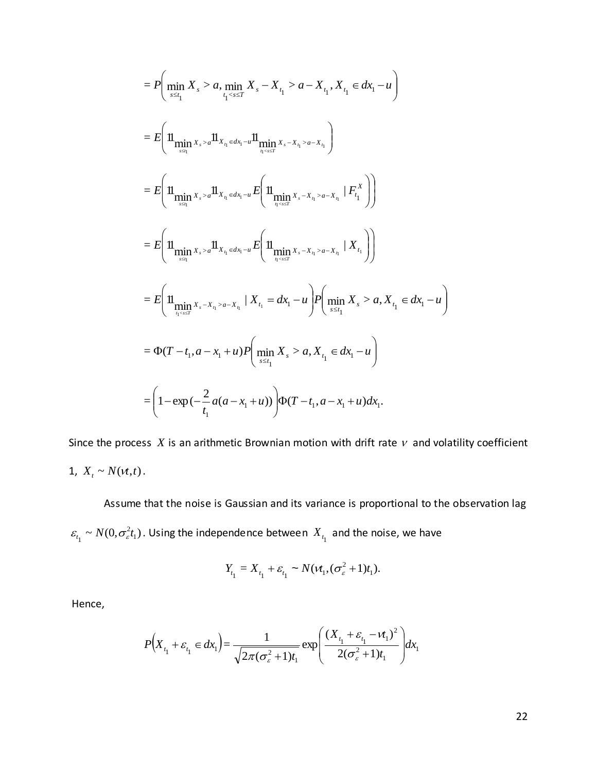$$
= P\left(\min_{s \le t_1} X_s > a, \min_{t_1 < s \le T} X_s - X_{t_1} > a - X_{t_1}, X_{t_1} \in dx_1 - u\right)
$$
\n
$$
= E\left(\mathbb{1}\underset{\max_{s \le t_1} x_s > a} \min_{x_{s} > a} \mathbb{1}_{X_{t_1} \in dx_1 - u} \mathbb{1}_{\min_{t_1 < s \le T} x_s - x_{t_1} > a - X_{t_1}}\right)
$$
\n
$$
= E\left(\mathbb{1}\underset{\max_{s \le t_1} x_s > a} \min_{x_{s} > a} \mathbb{1}_{X_{t_1} \in dx_1 - u} E\left(\mathbb{1}\underset{\max_{t_1 < s \le T} x_s - x_{t_1} > a - X_{t_1}} \mid F_{t_1}^X\right)\right)
$$
\n
$$
= E\left(\mathbb{1}\underset{\max_{s \le t_1} x_s - x_{t_1} > a} \min_{x_s > a} \mathbb{1}_{X_{t_1} \in dx_1 - u} E\left(\mathbb{1}\underset{\max_{s \le t_1} x_s - x_{t_1} > a, X_{t_1} \in dx_1 - u}{\min_{s \le t_1} x_s - x_{t_1} > a, X_{t_1} \in dx_1 - u\right)
$$
\n
$$
= \Phi(T - t_1, a - x_1 + u) P\left(\underset{\max_{s \le t_1} x_s > a, X_{t_1} \in dx_1 - u}{\min_{t_1} x_s - x_{t_1} > a, X_{t_1} \in dx_1 - u\right)
$$
\n
$$
= \left(1 - \exp\left(-\frac{2}{t_1}a(a - x_1 + u)\right) \Phi(T - t_1, a - x_1 + u)dx_1.
$$

Since the process  $X$  is an arithmetic Brownian motion with drift rate  $\nu$  and volatility coefficient 1,  $X_t \sim N(\nu t, t)$ .

Assume that the noise is Gaussian and its variance is proportional to the observation lag ~  $N(0, \sigma_{\varepsilon}^2 t_1)$  $\varepsilon_{t_1} \sim N(0, \sigma_\varepsilon^2 t_1)$ . Using the independence between  $X_{t_1}$  and the noise, we have

$$
Y_{t_1} = X_{t_1} + \varepsilon_{t_1} \sim N(\nu_{t_1}, (\sigma_{\varepsilon}^2 + 1)t_1).
$$

Hence,

$$
P(X_{t_1} + \varepsilon_{t_1} \in dx_1) = \frac{1}{\sqrt{2\pi(\sigma_{\varepsilon}^2 + 1)t_1}} \exp\left(\frac{(X_{t_1} + \varepsilon_{t_1} - vt_1)^2}{2(\sigma_{\varepsilon}^2 + 1)t_1}\right) dx_1
$$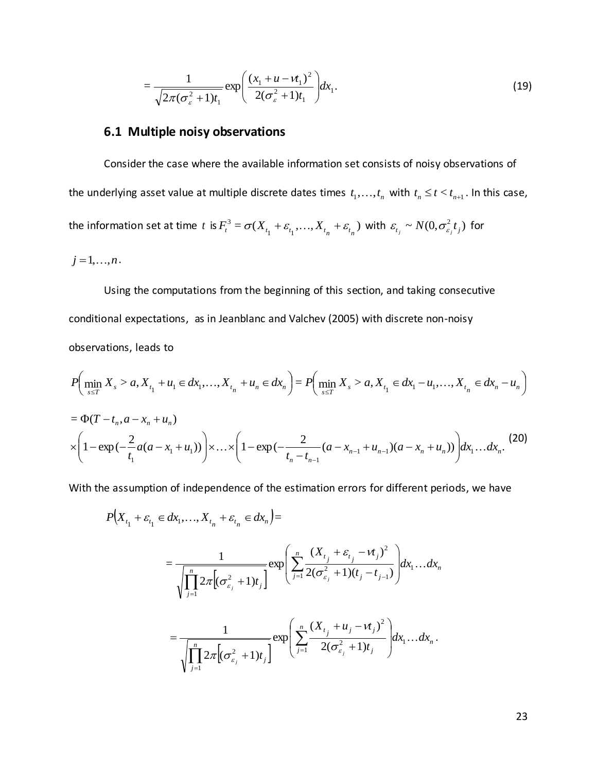$$
=\frac{1}{\sqrt{2\pi(\sigma_{\varepsilon}^2+1)t_1}}\exp\left(\frac{(x_1+u-vt_1)^2}{2(\sigma_{\varepsilon}^2+1)t_1}\right)dx_1.
$$
\n(19)

## **6.1 Multiple noisy observations**

Consider the case where the available information set consists of noisy observations of the underlying asset value at multiple discrete dates times  $t_1, \ldots, t_n$  with  $t_n \le t < t_{n+1}$ . In this case, the information set at time t is  $F_i^3 = \sigma(X_{t_1} + \varepsilon_{t_1}, ..., X_{t_n} + \varepsilon_{t_n})$ 3  $F_t^3 = \sigma(X_{t_1} + \varepsilon_{t_1}, ..., X_{t_n} + \varepsilon_{t_n})$  with  $\varepsilon_{t_j} \sim N(0, \sigma_{\varepsilon_j}^2 t_j)$  for

$$
j=1,\ldots,n.
$$

Using the computations from the beginning of this section, and taking consecutive conditional expectations, as in Jeanblanc and Valchev (2005) with discrete non-noisy observations, leads to

$$
P\left(\min_{s \leq T} X_s > a, X_{t_1} + u_1 \in dx_1, \dots, X_{t_n} + u_n \in dx_n\right) = P\left(\min_{s \leq T} X_s > a, X_{t_1} \in dx_1 - u_1, \dots, X_{t_n} \in dx_n - u_n\right)
$$
\n
$$
= \Phi(T - t_n, a - x_n + u_n)
$$
\n
$$
\times \left(1 - \exp\left(-\frac{2}{t_1}a(a - x_1 + u_1)\right)\right) \times \dots \times \left(1 - \exp\left(-\frac{2}{t_n - t_{n-1}}(a - x_{n-1} + u_{n-1})(a - x_n + u_n)\right)\right) dx_1 \dots dx_n. \tag{20}
$$

With the assumption of independence of the estimation errors for different periods, we have

$$
P(X_{t_1} + \varepsilon_{t_1} \in dx_1, ..., X_{t_n} + \varepsilon_{t_n} \in dx_n) =
$$
\n
$$
= \frac{1}{\sqrt{\prod_{j=1}^n 2\pi \Big[ (\sigma_{\varepsilon_j}^2 + 1)t_j \Big]}} \exp\left( \sum_{j=1}^n \frac{(X_{t_j} + \varepsilon_{t_j} - vt_j)^2}{2(\sigma_{\varepsilon_j}^2 + 1)(t_j - t_{j-1})} \right) dx_1 ... dx_n
$$
\n
$$
= \frac{1}{\sqrt{\prod_{j=1}^n 2\pi \Big[ (\sigma_{\varepsilon_j}^2 + 1)t_j \Big]}} \exp\left( \sum_{j=1}^n \frac{(X_{t_j} + u_j - vt_j)^2}{2(\sigma_{\varepsilon_j}^2 + 1)t_j} \right) dx_1 ... dx_n.
$$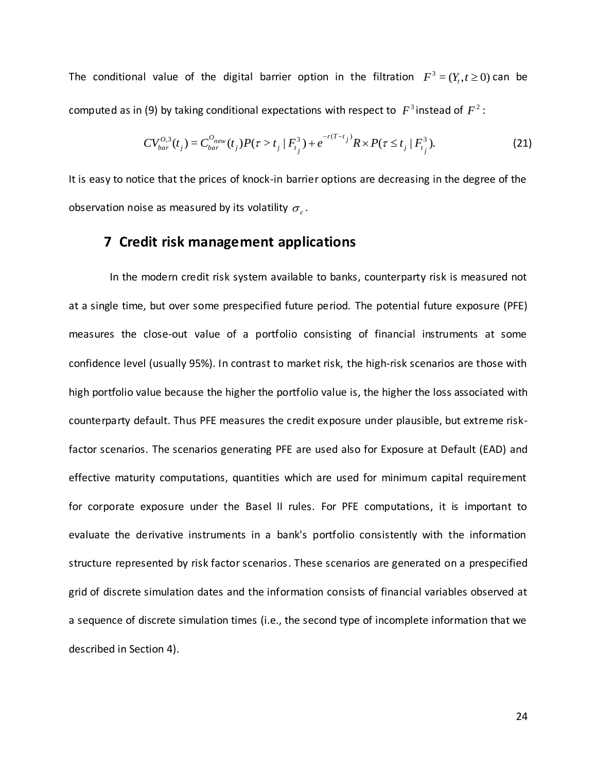The conditional value of the digital barrier option in the filtration  $F^3 = (Y_t, t \ge 0)$  can be computed as in (9) by taking conditional expectations with respect to  $|F^3|$  instead of  $|F^2|$ :

$$
CV_{bar}^{O,3}(t_j) = C_{bar}^{O_{new}}(t_j)P(\tau > t_j | F_{t_j}^3) + e^{-r(T-t_j)}R \times P(\tau \le t_j | F_{t_j}^3).
$$
 (21)

It is easy to notice that the prices of knock-in barrier options are decreasing in the degree of the observation noise as measured by its volatility  $\sigma_{\varepsilon}$ .

## **7 Credit risk management applications**

 In the modern credit risk system available to banks, counterparty risk is measured not at a single time, but over some prespecified future period. The potential future exposure (PFE) measures the close-out value of a portfolio consisting of financial instruments at some confidence level (usually 95%). In contrast to market risk, the high-risk scenarios are those with high portfolio value because the higher the portfolio value is, the higher the loss associated with counterparty default. Thus PFE measures the credit exposure under plausible, but extreme riskfactor scenarios. The scenarios generating PFE are used also for Exposure at Default (EAD) and effective maturity computations, quantities which are used for minimum capital requirement for corporate exposure under the Basel II rules. For PFE computations, it is important to evaluate the derivative instruments in a bank's portfolio consistently with the information structure represented by risk factor scenarios. These scenarios are generated on a prespecified grid of discrete simulation dates and the information consists of financial variables observed at a sequence of discrete simulation times (i.e., the second type of incomplete information that we described in Section 4).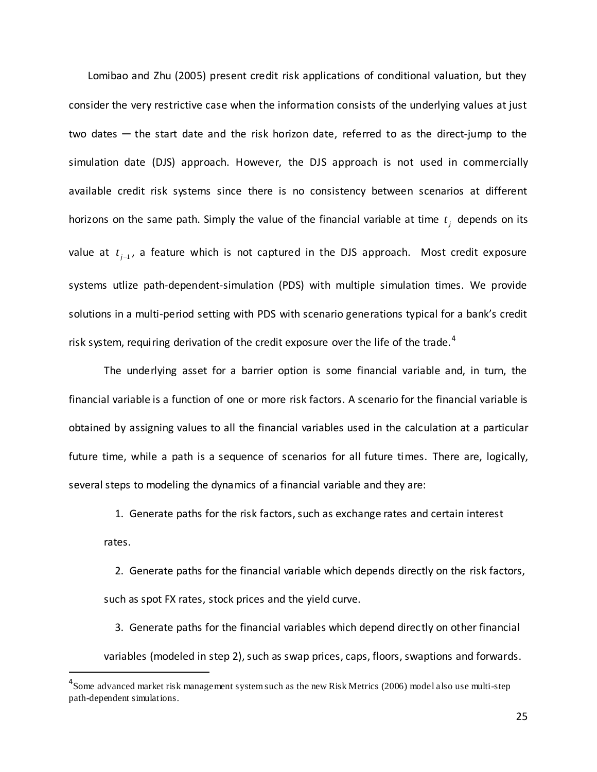Lomibao and Zhu (2005) present credit risk applications of conditional valuation, but they consider the very restrictive case when the information consists of the underlying values at just two dates  $-$  the start date and the risk horizon date, referred to as the direct-jump to the simulation date (DJS) approach. However, the DJS approach is not used in commercially available credit risk systems since there is no consistency between scenarios at different horizons on the same path. Simply the value of the financial variable at time  $t_j$  depends on its value at  $t_{j-1}$ , a feature which is not captured in the DJS approach. Most credit exposure systems utlize path-dependent-simulation (PDS) with multiple simulation times. We provide solutions in a multi-period setting with PDS with scenario generations typical for a bank's credit risk system, requiring derivation of the credit exposure over the life of the trade.<sup>4</sup>

The underlying asset for a barrier option is some financial variable and, in turn, the financial variable is a function of one or more risk factors. A scenario for the financial variable is obtained by assigning values to all the financial variables used in the calculation at a particular future time, while a path is a sequence of scenarios for all future times. There are, logically, several steps to modeling the dynamics of a financial variable and they are:

 1. Generate paths for the risk factors, such as exchange rates and certain interest rates.

 2. Generate paths for the financial variable which depends directly on the risk factors, such as spot FX rates, stock prices and the yield curve.

 3. Generate paths for the financial variables which depend directly on other financial variables (modeled in step 2), such as swap prices, caps, floors, swaptions and forwards.

 $\overline{a}$ 

<sup>&</sup>lt;sup>4</sup> Some advanced market risk management system such as the new Risk Metrics (2006) model also use multi-step path-dependent simulations.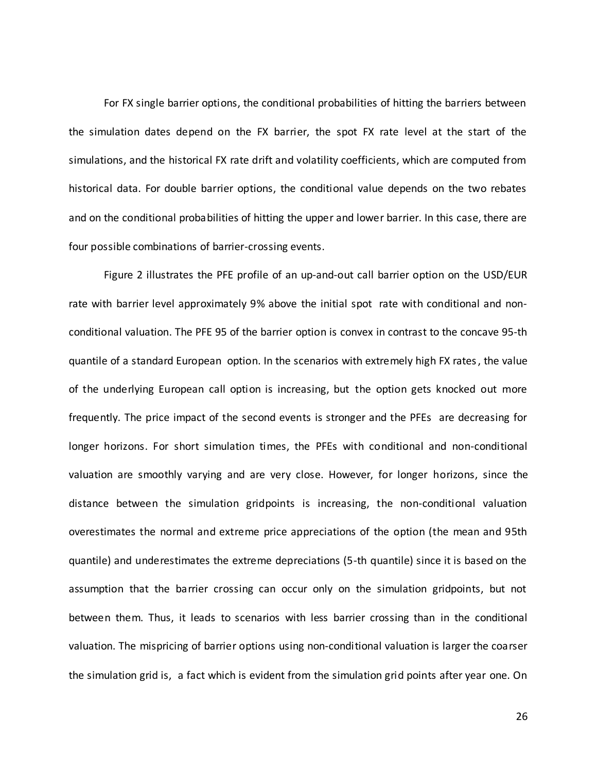For FX single barrier options, the conditional probabilities of hitting the barriers between the simulation dates depend on the FX barrier, the spot FX rate level at the start of the simulations, and the historical FX rate drift and volatility coefficients, which are computed from historical data. For double barrier options, the conditional value depends on the two rebates and on the conditional probabilities of hitting the upper and lower barrier. In this case, there are four possible combinations of barrier-crossing events.

Figure 2 illustrates the PFE profile of an up-and-out call barrier option on the USD/EUR rate with barrier level approximately 9% above the initial spot rate with conditional and nonconditional valuation. The PFE 95 of the barrier option is convex in contrast to the concave 95-th quantile of a standard European option. In the scenarios with extremely high FX rates, the value of the underlying European call option is increasing, but the option gets knocked out more frequently. The price impact of the second events is stronger and the PFEs are decreasing for longer horizons. For short simulation times, the PFEs with conditional and non-conditional valuation are smoothly varying and are very close. However, for longer horizons, since the distance between the simulation gridpoints is increasing, the non-conditional valuation overestimates the normal and extreme price appreciations of the option (the mean and 95th quantile) and underestimates the extreme depreciations (5-th quantile) since it is based on the assumption that the barrier crossing can occur only on the simulation gridpoints, but not between them. Thus, it leads to scenarios with less barrier crossing than in the conditional valuation. The mispricing of barrier options using non-conditional valuation is larger the coarser the simulation grid is, a fact which is evident from the simulation grid points after year one. On

26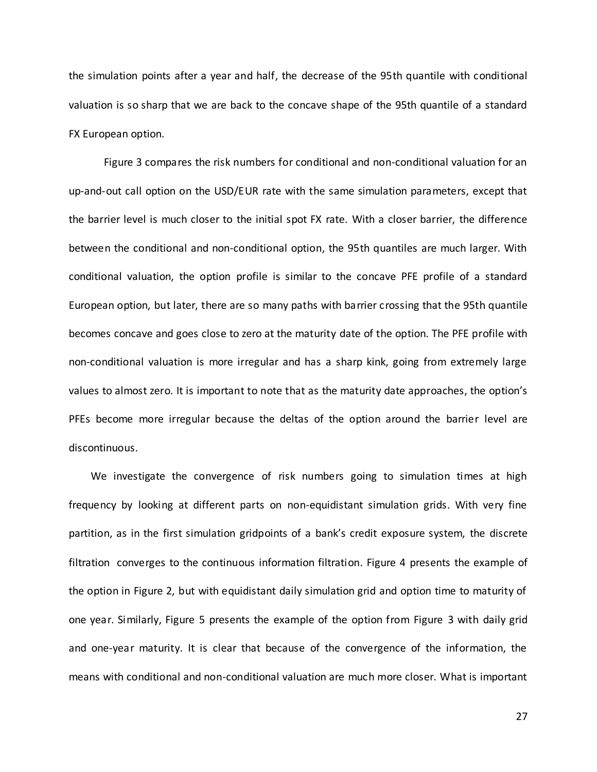the simulation points after a year and half, the decrease of the 95th quantile with conditional valuation is so sharp that we are back to the concave shape of the 95th quantile of a standard FX European option.

Figure 3 compares the risk numbers for conditional and non-conditional valuation for an up-and-out call option on the USD/EUR rate with the same simulation parameters, except that the barrier level is much closer to the initial spot FX rate. With a closer barrier, the difference between the conditional and non-conditional option, the 95th quantiles are much larger. With conditional valuation, the option profile is similar to the concave PFE profile of a standard European option, but later, there are so many paths with barrier crossing that the 95th quantile becomes concave and goes close to zero at the maturity date of the option. The PFE profile with non-conditional valuation is more irregular and has a sharp kink, going from extremely large values to almost zero. It is important to note that as the maturity date approaches, the option's PFEs become more irregular because the deltas of the option around the barrier level are discontinuous.

 We investigate the convergence of risk numbers going to simulation times at high frequency by looking at different parts on non-equidistant simulation grids. With very fine partition, as in the first simulation gridpoints of a bank's credit exposure system, the discrete filtration converges to the continuous information filtration. Figure 4 presents the example of the option in Figure 2, but with equidistant daily simulation grid and option time to maturity of one year. Similarly, Figure 5 presents the example of the option from Figure 3 with daily grid and one-year maturity. It is clear that because of the convergence of the information, the means with conditional and non-conditional valuation are much more closer. What is important

27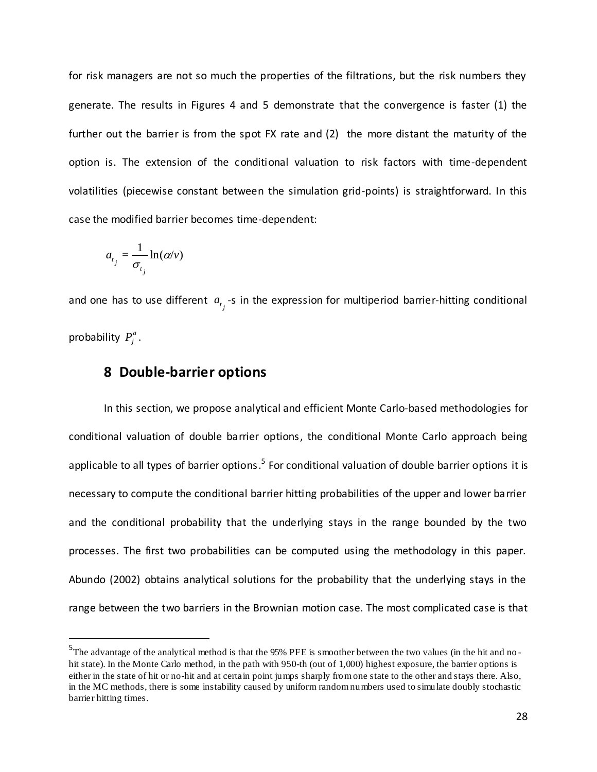for risk managers are not so much the properties of the filtrations, but the risk numbers they generate. The results in Figures 4 and 5 demonstrate that the convergence is faster (1) the further out the barrier is from the spot FX rate and (2) the more distant the maturity of the option is. The extension of the conditional valuation to risk factors with time-dependent volatilities (piecewise constant between the simulation grid-points) is straightforward. In this case the modified barrier becomes time-dependent:

$$
a_{t_j} = \frac{1}{\sigma_{t_j}} \ln(\alpha/\nu)
$$

 $\overline{a}$ 

and one has to use different  $a_{t_j}$ -s in the expression for multiperiod barrier-hitting conditional probability  $P_j^a$ .

# **8 Double-barrier options**

In this section, we propose analytical and efficient Monte Carlo-based methodologies for conditional valuation of double barrier options, the conditional Monte Carlo approach being applicable to all types of barrier options.<sup>5</sup> For conditional valuation of double barrier options it is necessary to compute the conditional barrier hitting probabilities of the upper and lower barrier and the conditional probability that the underlying stays in the range bounded by the two processes. The first two probabilities can be computed using the methodology in this paper. Abundo (2002) obtains analytical solutions for the probability that the underlying stays in the range between the two barriers in the Brownian motion case. The most complicated case is that

<sup>&</sup>lt;sup>5</sup>The advantage of the analytical method is that the 95% PFE is smoother between the two values (in the hit and nohit state). In the Monte Carlo method, in the path with 950-th (out of 1,000) highest exposure, the barrier options is either in the state of hit or no-hit and at certain point jumps sharply from one state to the other and stays there. Also, in the MC methods, there is some instability caused by uniform random numbers used to simulate doubly stochastic barrier hitting times.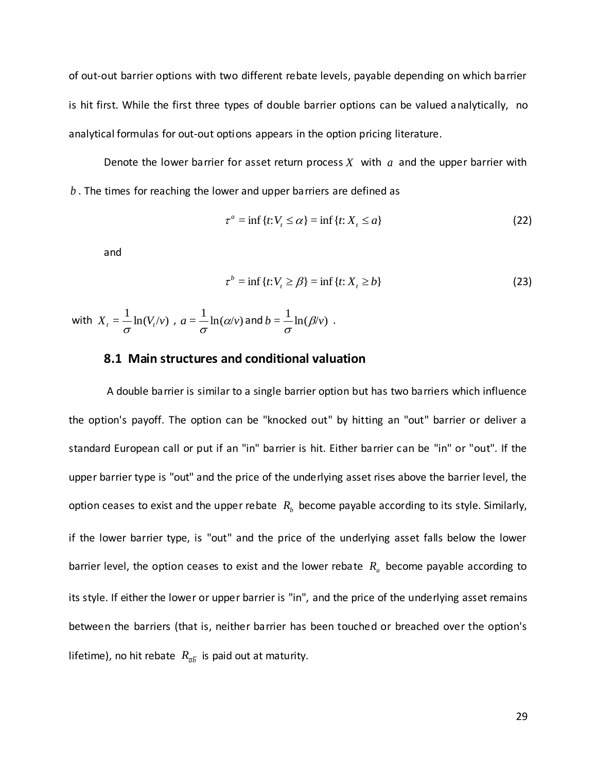of out-out barrier options with two different rebate levels, payable depending on which barrier is hit first. While the first three types of double barrier options can be valued analytically, no analytical formulas for out-out options appears in the option pricing literature.

Denote the lower barrier for asset return process  $X$  with  $a$  and the upper barrier with *b* . The times for reaching the lower and upper barriers are defined as

$$
\tau^a = \inf \{ t : V_t \le \alpha \} = \inf \{ t : X_t \le a \}
$$
\n<sup>(22)</sup>

and

$$
\tau^b = \inf \{ t : V_t \ge \beta \} = \inf \{ t : X_t \ge b \}
$$
\n
$$
(23)
$$

with 
$$
X_t = \frac{1}{\sigma} \ln(V_t/v)
$$
,  $a = \frac{1}{\sigma} \ln(\alpha/v)$  and  $b = \frac{1}{\sigma} \ln(\beta/v)$ .

#### **8.1 Main structures and conditional valuation**

A double barrier is similar to a single barrier option but has two barriers which influence the option's payoff. The option can be "knocked out" by hitting an "out" barrier or deliver a standard European call or put if an "in" barrier is hit. Either barrier can be "in" or "out". If the upper barrier type is "out" and the price of the underlying asset rises above the barrier level, the option ceases to exist and the upper rebate  $\ R_{b}$  become payable according to its style. Similarly, if the lower barrier type, is "out" and the price of the underlying asset falls below the lower barrier level, the option ceases to exist and the lower rebate *Ra* become payable according to its style. If either the lower or upper barrier is "in", and the price of the underlying asset remains between the barriers (that is, neither barrier has been touched or breached over the option's lifetime), no hit rebate  $\ R_{\bar{a}\bar{b}}$  is paid out at maturity.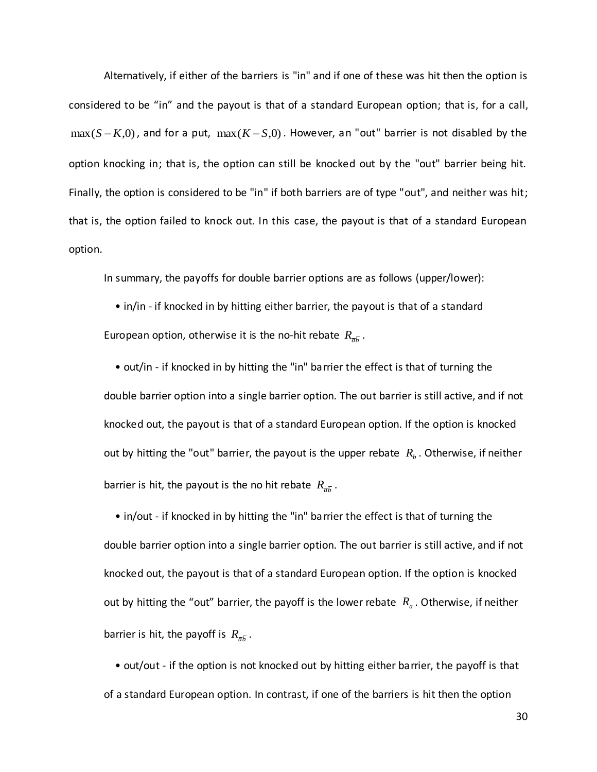Alternatively, if either of the barriers is "in" and if one of these was hit then the option is considered to be "in" and the payout is that of a standard European option; that is, for a call,  $\max(S-K,0)$ , and for a put,  $\max(K-S,0)$ . However, an "out" barrier is not disabled by the option knocking in; that is, the option can still be knocked out by the "out" barrier being hit. Finally, the option is considered to be "in" if both barriers are of type "out", and neither was hit; that is, the option failed to knock out. In this case, the payout is that of a standard European option.

In summary, the payoffs for double barrier options are as follows (upper/lower):

 • in/in - if knocked in by hitting either barrier, the payout is that of a standard European option, otherwise it is the no-hit rebate  $R_{\bar{a}\bar{b}}$  .

 • out/in - if knocked in by hitting the "in" barrier the effect is that of turning the double barrier option into a single barrier option. The out barrier is still active, and if not knocked out, the payout is that of a standard European option. If the option is knocked out by hitting the "out" barrier, the payout is the upper rebate  $R_b$ . Otherwise, if neither barrier is hit, the payout is the no hit rebate  $R_{\bar{a}\bar{b}}$ .

 • in/out - if knocked in by hitting the "in" barrier the effect is that of turning the double barrier option into a single barrier option. The out barrier is still active, and if not knocked out, the payout is that of a standard European option. If the option is knocked out by hitting the "out" barrier, the payoff is the lower rebate *Ra* . Otherwise, if neither barrier is hit, the payoff is  $R_{\bar{a}\bar{b}}$ .

 • out/out - if the option is not knocked out by hitting either barrier, the payoff is that of a standard European option. In contrast, if one of the barriers is hit then the option

30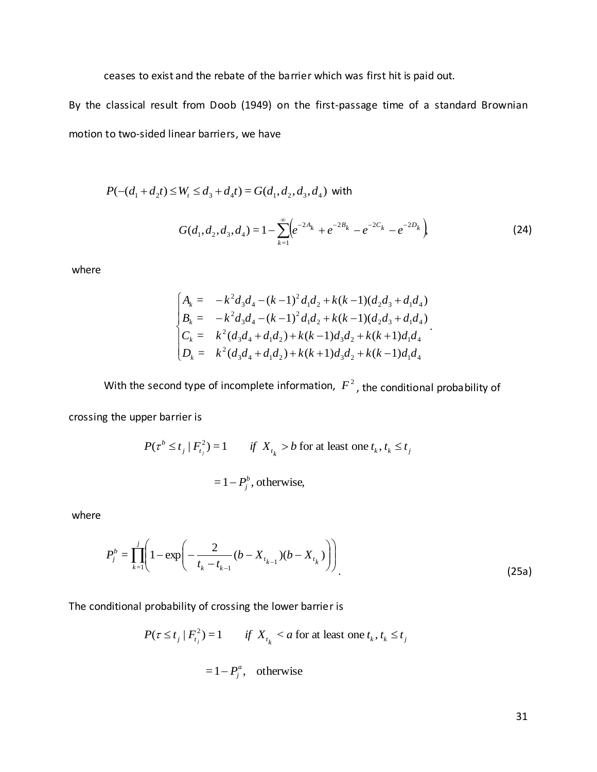ceases to exist and the rebate of the barrier which was first hit is paid out.

By the classical result from Doob (1949) on the first-passage time of a standard Brownian motion to two-sided linear barriers, we have

$$
P(-(d_1 + d_2 t) \le W_t \le d_3 + d_4 t) = G(d_1, d_2, d_3, d_4)
$$
 with

$$
G(d_1, d_2, d_3, d_4) = 1 - \sum_{k=1}^{\infty} \left( e^{-2A_k} + e^{-2B_k} - e^{-2C_k} - e^{-2D_k} \right)
$$
 (24)

where

$$
\begin{cases}\nA_k = -k^2 d_3 d_4 - (k-1)^2 d_1 d_2 + k(k-1)(d_2 d_3 + d_1 d_4) \\
B_k = -k^2 d_3 d_4 - (k-1)^2 d_1 d_2 + k(k-1)(d_2 d_3 + d_1 d_4) \\
C_k = k^2 (d_3 d_4 + d_1 d_2) + k(k-1) d_3 d_2 + k(k+1) d_1 d_4 \\
D_k = k^2 (d_3 d_4 + d_1 d_2) + k(k+1) d_3 d_2 + k(k-1) d_1 d_4\n\end{cases}
$$

With the second type of incomplete information,  $F^2$ , the conditional probability of

crossing the upper barrier is

$$
P(\tau^b \le t_j \mid F_{t_j}^2) = 1 \qquad \text{if } X_{t_k} > b \text{ for at least one } t_k, t_k \le t_j
$$

$$
= 1 - P_j^b, \text{ otherwise,}
$$

where

$$
P_j^b = \prod_{k=1}^j \left( 1 - \exp\left( -\frac{2}{t_k - t_{k-1}} (b - X_{t_{k-1}})(b - X_{t_k}) \right) \right)
$$
(25a)

The conditional probability of crossing the lower barrier is

$$
P(\tau \le t_j \mid F_{t_j}^2) = 1 \qquad \text{if } X_{t_k} < a \text{ for at least one } t_k, t_k \le t_j
$$
\n
$$
= 1 - P_j^a, \quad \text{otherwise}
$$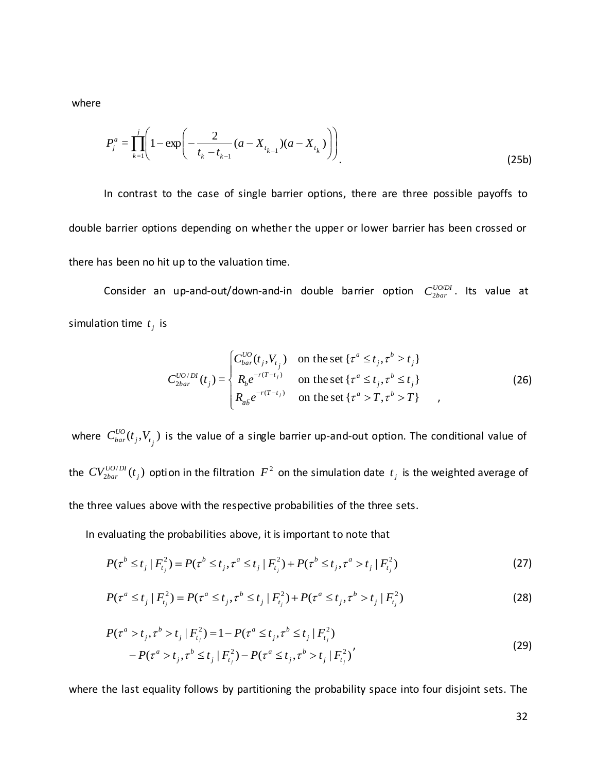where

$$
P_j^a = \prod_{k=1}^j \left( 1 - \exp\left( -\frac{2}{t_k - t_{k-1}} (a - X_{t_{k-1}}) (a - X_{t_k}) \right) \right)
$$
(25b)

In contrast to the case of single barrier options, there are three possible payoffs to double barrier options depending on whether the upper or lower barrier has been crossed or there has been no hit up to the valuation time.

Consider an up-and-out/down-and-in double barrier option  $C_{\textit{2bar}}^{\textit{UODD}}$  $\frac{UO/DI}{2bar}$ . Its value at simulation time  $t_j$  is

$$
C_{2bar}^{UO/DI}(t_j) = \begin{cases} C_{bar}^{UO}(t_j, V_{t_j}) & \text{on the set } \{\tau^a \le t_j, \tau^b > t_j\} \\ R_b e^{-r(T-t_j)} & \text{on the set } \{\tau^a \le t_j, \tau^b \le t_j\} \\ R_{\overline{a}\overline{b}} e^{-r(T-t_j)} & \text{on the set } \{\tau^a > T, \tau^b > T\} \end{cases}
$$
 (26)

where  $C^{UO}_{bar}(t_j, V_{t_j})$  is the value of a single barrier up-and-out option. The conditional value of the  $CV^{UO/DI}_{2bar}(t_i)$  $_{2bar}$   $\vee$ <sub>j</sub>  $CV_{2bar}^{UO/DI}(t_j)$  option in the filtration  $F^2$  on the simulation date  $t_j$  is the weighted average of the three values above with the respective probabilities of the three sets.

In evaluating the probabilities above, it is important to note that

$$
P(\tau^b \le t_j \mid F_{t_j}^2) = P(\tau^b \le t_j, \tau^a \le t_j \mid F_{t_j}^2) + P(\tau^b \le t_j, \tau^a > t_j \mid F_{t_j}^2)
$$
\n(27)

$$
P(\tau^a \le t_j \mid F_{t_j}^2) = P(\tau^a \le t_j, \tau^b \le t_j \mid F_{t_j}^2) + P(\tau^a \le t_j, \tau^b > t_j \mid F_{t_j}^2)
$$
\n(28)

$$
P(\tau^{a} > t_{j}, \tau^{b} > t_{j} | F_{t_{j}}^{2}) = 1 - P(\tau^{a} \le t_{j}, \tau^{b} \le t_{j} | F_{t_{j}}^{2})
$$
  
- 
$$
P(\tau^{a} > t_{j}, \tau^{b} \le t_{j} | F_{t_{j}}^{2}) - P(\tau^{a} \le t_{j}, \tau^{b} > t_{j} | F_{t_{j}}^{2})'
$$
 (29)

where the last equality follows by partitioning the probability space into four disjoint sets. The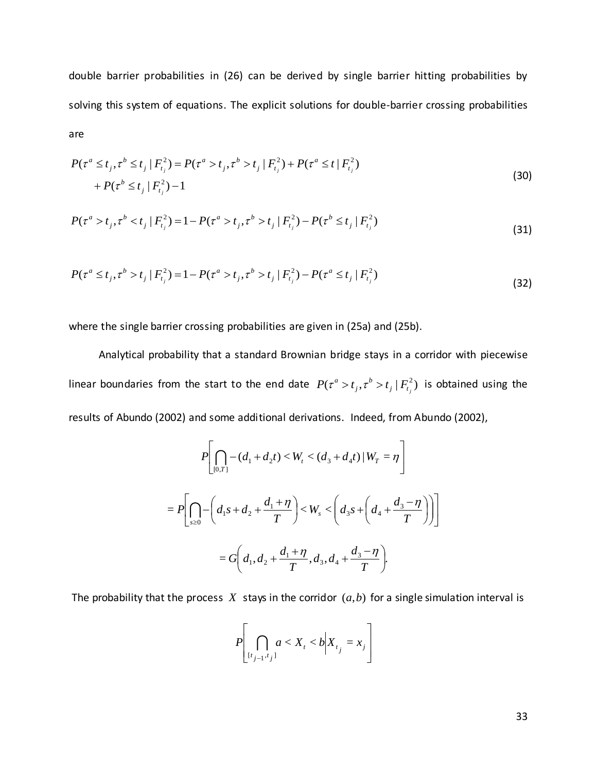double barrier probabilities in (26) can be derived by single barrier hitting probabilities by solving this system of equations. The explicit solutions for double-barrier crossing probabilities are

$$
P(\tau^{a} \leq t_{j}, \tau^{b} \leq t_{j} | F_{t_{j}}^{2}) = P(\tau^{a} > t_{j}, \tau^{b} > t_{j} | F_{t_{j}}^{2}) + P(\tau^{a} \leq t | F_{t_{j}}^{2}) + P(\tau^{b} \leq t_{j} | F_{t_{j}}^{2}) - 1
$$
\n(30)

$$
P(\tau^{a} > t_{j}, \tau^{b} < t_{j} | F_{t_{j}}^{2}) = 1 - P(\tau^{a} > t_{j}, \tau^{b} > t_{j} | F_{t_{j}}^{2}) - P(\tau^{b} \leq t_{j} | F_{t_{j}}^{2})
$$
\n(31)

$$
P(\tau^a \le t_j, \tau^b > t_j \mid F_{t_j}^2) = 1 - P(\tau^a > t_j, \tau^b > t_j \mid F_{t_j}^2) - P(\tau^a \le t_j \mid F_{t_j}^2)
$$
\n(32)

where the single barrier crossing probabilities are given in (25a) and (25b).

 Analytical probability that a standard Brownian bridge stays in a corridor with piecewise linear boundaries from the start to the end date  $|P(\tau^a > t_i, \tau^b > t_i | F_t^2)$  $j \mid \boldsymbol{I}$ <sub>t<sub>j</sub></sub> *b*  $P(\tau^a > t_j, \tau^b > t_j | F_{t_i}^2)$  is obtained using the results of Abundo (2002) and some additional derivations. Indeed, from Abundo (2002),

$$
P\left[\bigcap_{[0,T]} -(d_1 + d_2 t) < W_t < (d_3 + d_4 t) \, | \, W_T = \eta \right]
$$
\n
$$
= P\left[\bigcap_{s \ge 0} -\left(d_1 s + d_2 + \frac{d_1 + \eta}{T}\right) < W_s < \left(d_3 s + \left(d_4 + \frac{d_3 - \eta}{T}\right)\right)\right]
$$
\n
$$
= G\left(d_1, d_2 + \frac{d_1 + \eta}{T}, d_3, d_4 + \frac{d_3 - \eta}{T}\right).
$$

The probability that the process  $X$  stays in the corridor  $(a,b)$  for a single simulation interval is

$$
P\left[\bigcap_{[t_{j-1},t_j]}a < X_t < b\middle|X_{t_j} = x_j\right]
$$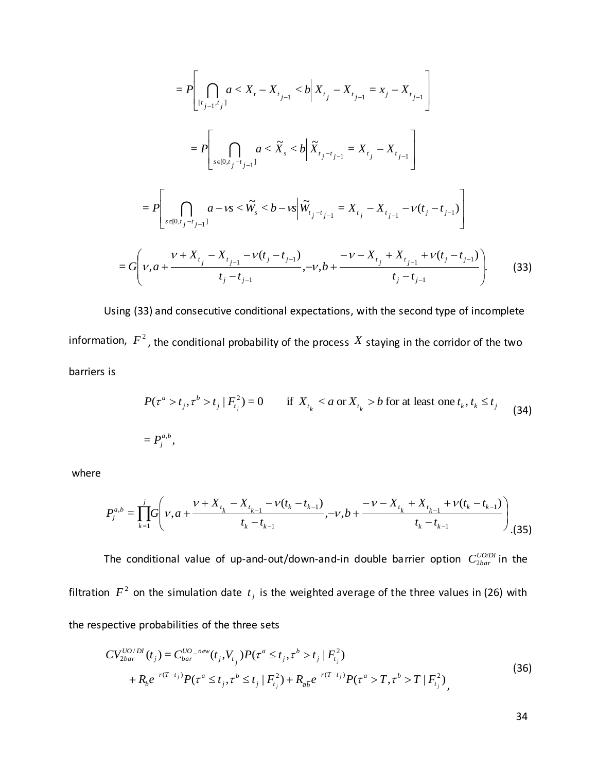$$
= P\left[\bigcap_{[t_{j-1},t_{j}]} a < X_t - X_{t_{j-1}} < b \middle| X_{t_j} - X_{t_{j-1}} = x_j - X_{t_{j-1}} \right]
$$
\n
$$
= P\left[\bigcap_{s \in [0,t_j - t_{j-1}]} a < \widetilde{X}_s < b \middle| \widetilde{X}_{t_j - t_{j-1}} = X_{t_j} - X_{t_{j-1}} \right]
$$
\n
$$
= P\left[\bigcap_{s \in [0,t_j - t_{j-1}]} a - \nu s < \widetilde{W}_s < b - \nu s \middle| \widetilde{W}_{t_j - t_{j-1}} = X_{t_j} - X_{t_{j-1}} - \nu(t_j - t_{j-1}) \right]
$$
\n
$$
= G\left(\nu, a + \frac{\nu + X_{t_j} - X_{t_{j-1}} - \nu(t_j - t_{j-1})}{t_j - t_{j-1}}, -\nu, b + \frac{-\nu - X_{t_j} + X_{t_{j-1}} + \nu(t_j - t_{j-1})}{t_j - t_{j-1}}\right). \tag{33}
$$

Using (33) and consecutive conditional expectations, with the second type of incomplete information,  $F^2$ , the conditional probability of the process  $X$  staying in the corridor of the two barriers is

$$
P(\tau^{a} > t_{j}, \tau^{b} > t_{j} | F_{t_{j}}^{2}) = 0 \quad \text{if } X_{t_{k}} < a \text{ or } X_{t_{k}} > b \text{ for at least one } t_{k}, t_{k} \le t_{j}
$$
 (34)  
=  $P_{j}^{a,b}$ ,

where

$$
P_j^{a,b} = \prod_{k=1}^j G\left(v, a + \frac{v + X_{t_k} - X_{t_{k-1}} - v(t_k - t_{k-1})}{t_k - t_{k-1}}, -v, b + \frac{-v - X_{t_k} + X_{t_{k-1}} + v(t_k - t_{k-1})}{t_k - t_{k-1}}\right)
$$
(35)

The conditional value of up-and-out/down-and-in double barrier option  $C_{\textit{2bar}}^{\textit{UODI}}$  $\frac{U O D D I}{2bar}$  in the filtration  $F^2$  on the simulation date  $t_j$  is the weighted average of the three values in (26) with the respective probabilities of the three sets

$$
CV_{2bar}^{UO/DI}(t_j) = C_{bar}^{UO\_new}(t_j, V_{t_j}) P(\tau^a \le t_j, \tau^b > t_j | F_{t_j}^2)
$$
  
+ 
$$
R_b e^{-r(T-t_j)} P(\tau^a \le t_j, \tau^b \le t_j | F_{t_j}^2) + R_{\overline{a}\overline{b}} e^{-r(T-t_j)} P(\tau^a > T, \tau^b > T | F_{t_j}^2),
$$
 (36)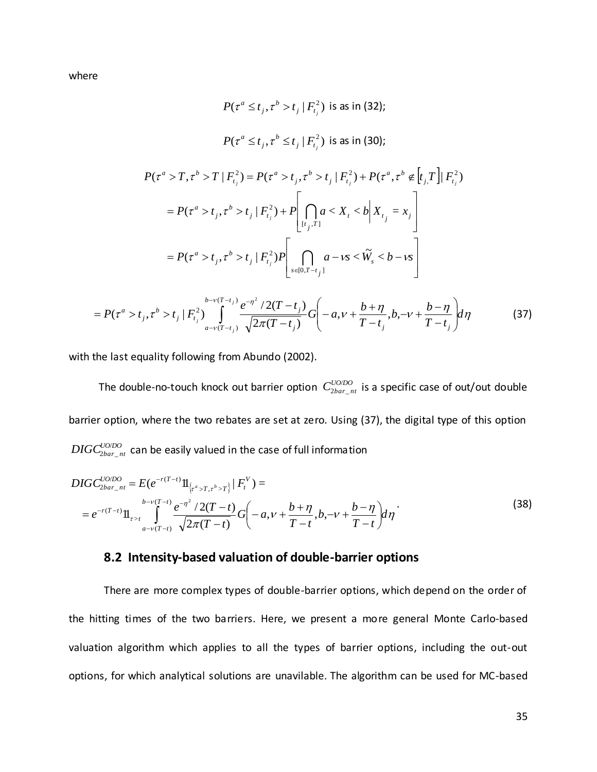where

$$
P(\tau^{a} \leq t_{j}, \tau^{b} > t_{j} | F_{t_{j}}^{2}) \text{ is as in (32)};
$$
\n
$$
P(\tau^{a} \leq t_{j}, \tau^{b} \leq t_{j} | F_{t_{j}}^{2}) \text{ is as in (30)};
$$
\n
$$
P(\tau^{a} > T, \tau^{b} > T | F_{t_{j}}^{2}) = P(\tau^{a} > t_{j}, \tau^{b} > t_{j} | F_{t_{j}}^{2}) + P(\tau^{a}, \tau^{b} \notin [t_{j}, T] | F_{t_{j}}^{2})
$$
\n
$$
= P(\tau^{a} > t_{j}, \tau^{b} > t_{j} | F_{t_{j}}^{2}) + P\left[\bigcap_{[t_{j}, T]} a < X_{t} < b | X_{t_{j}} = x_{j}\right]
$$
\n
$$
= P(\tau^{a} > t_{j}, \tau^{b} > t_{j} | F_{t_{j}}^{2}) P\left[\bigcap_{s \in [0, T - t_{j}]} a - vs < \widetilde{W}_{s} < b - vs\right]
$$
\n
$$
= P(\tau^{a} > t_{j}, \tau^{b} > t_{j} | F_{t_{j}}^{2}) \int_{a - v(T - t_{j})}^{b - v(T - t_{j})} \frac{e^{-\eta^{2}} / 2(T - t_{j})}{\sqrt{2\pi (T - t_{j})}} G\left(-a, v + \frac{b + \eta}{T - t_{j}}, b, -v + \frac{b - \eta}{T - t_{j}}\right) d\eta \tag{37}
$$

 $\int_{a-v(T-t_j)}^{y'} \sqrt{2\pi (T-t_j)}$   $\int_{a}^{y'} T(t_j) dt_j = T-t_j$ 

 $\setminus$ 

 $\int$ 

with the last equality following from Abundo (2002).

 $\cdot_{\nu}$ 

*j*

 $(T-t_i)$ 

The double-no-touch knock out barrier option  $C^{UODO}_{2bar\_nt}$  $\frac{UU/D}{2bar\_nt}$  is a specific case of out/out double barrier option, where the two rebates are set at zero. Using (37), the digital type of this option  $\textit{DIGC}_{\textit{2bar\_nt}}^{\textit{U0/DO}}$  $\frac{UUDO}{2bar_{nt}}$  can be easily valued in the case of full information

$$
DIGC_{2bar_{nt}nt}^{UODO} = E(e^{-r(T-t)}\mathbb{1}_{\{\tau^a > T, \tau^b > T\}} | F_t^V) =
$$
  
=  $e^{-r(T-t)}\mathbb{1}_{\{\tau > t\}} \int_{a-v(T-t)}^{b-v(T-t)} \frac{e^{-\eta^2} / 2(T-t)}{\sqrt{2\pi(T-t)}} G\left(-a, v + \frac{b+\eta}{T-t}, b, -v + \frac{b-\eta}{T-t}\right) d\eta$  (38)

#### **8.2 Intensity-based valuation of double-barrier options**

π

There are more complex types of double-barrier options, which depend on the order of the hitting times of the two barriers. Here, we present a more general Monte Carlo-based valuation algorithm which applies to all the types of barrier options, including the out-out options, for which analytical solutions are unavilable. The algorithm can be used for MC-based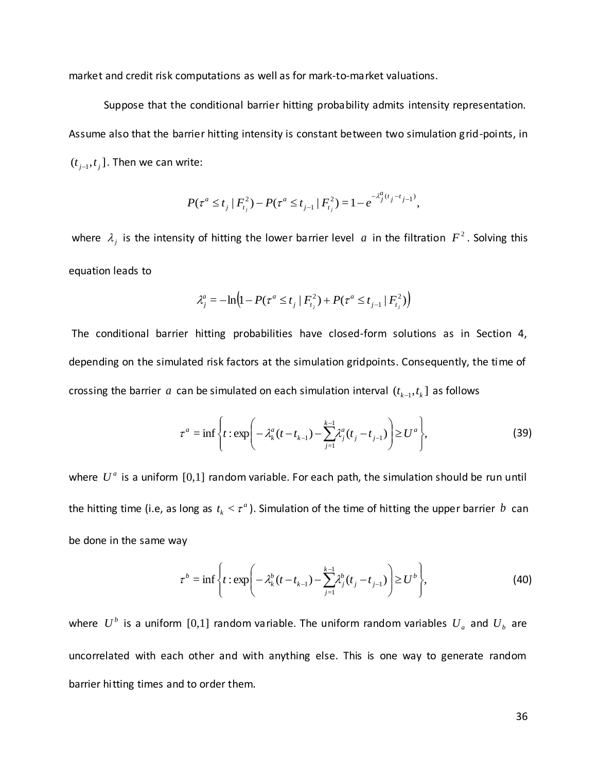market and credit risk computations as well as for mark-to-market valuations.

Suppose that the conditional barrier hitting probability admits intensity representation. Assume also that the barrier hitting intensity is constant between two simulation grid-points, in  $(t_{j-1}, t_j]$ . Then we can write:

$$
P(\tau^{a} \leq t_{j} | F_{t_{j}}^{2}) - P(\tau^{a} \leq t_{j-1} | F_{t_{j}}^{2}) = 1 - e^{-\lambda_{j}^{a}(t_{j} - t_{j-1})},
$$

where  $\lambda_j$  is the intensity of hitting the lower barrier level  $a$  in the filtration  $F^2$ . Solving this equation leads to

$$
\lambda_j^a = -\ln\left(1 - P(\tau^a \le t_j \mid F_{t_j}^2) + P(\tau^a \le t_{j-1} \mid F_{t_j}^2)\right)
$$

The conditional barrier hitting probabilities have closed-form solutions as in Section 4, depending on the simulated risk factors at the simulation gridpoints. Consequently, the time of crossing the barrier a can be simulated on each simulation interval  $(t_{k-1}, t_k]$  as follows

$$
\tau^{a} = \inf \left\{ t : \exp \left( -\lambda_{k}^{a} (t - t_{k-1}) - \sum_{j=1}^{k-1} \lambda_{j}^{a} (t_{j} - t_{j-1}) \right) \geq U^{a} \right\},\tag{39}
$$

where  $U^a$  is a uniform  $[0,1]$  random variable. For each path, the simulation should be run until the hitting time (i.e, as long as  $t_k < \tau^d$  $t_k < \tau^a$ ). Simulation of the time of hitting the upper barrier  $b$  can be done in the same way

$$
\tau^{b} = \inf \left\{ t : \exp \left( -\lambda_{k}^{b} (t - t_{k-1}) - \sum_{j=1}^{k-1} \lambda_{j}^{b} (t_{j} - t_{j-1}) \right) \geq U^{b} \right\},\tag{40}
$$

where  $U^b$  is a uniform [0,1] random variable. The uniform random variables  $U_a$  and  $U_b$  are uncorrelated with each other and with anything else. This is one way to generate random barrier hitting times and to order them.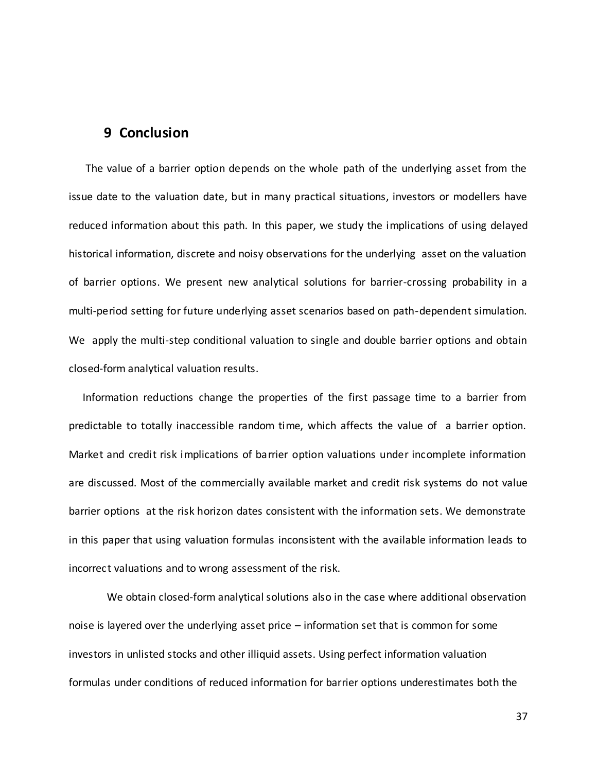## **9 Conclusion**

 The value of a barrier option depends on the whole path of the underlying asset from the issue date to the valuation date, but in many practical situations, investors or modellers have reduced information about this path. In this paper, we study the implications of using delayed historical information, discrete and noisy observations for the underlying asset on the valuation of barrier options. We present new analytical solutions for barrier-crossing probability in a multi-period setting for future underlying asset scenarios based on path-dependent simulation. We apply the multi-step conditional valuation to single and double barrier options and obtain closed-form analytical valuation results.

 Information reductions change the properties of the first passage time to a barrier from predictable to totally inaccessible random time, which affects the value of a barrier option. Market and credit risk implications of barrier option valuations under incomplete information are discussed. Most of the commercially available market and credit risk systems do not value barrier options at the risk horizon dates consistent with the information sets. We demonstrate in this paper that using valuation formulas inconsistent with the available information leads to incorrect valuations and to wrong assessment of the risk.

We obtain closed-form analytical solutions also in the case where additional observation noise is layered over the underlying asset price – information set that is common for some investors in unlisted stocks and other illiquid assets. Using perfect information valuation formulas under conditions of reduced information for barrier options underestimates both the

37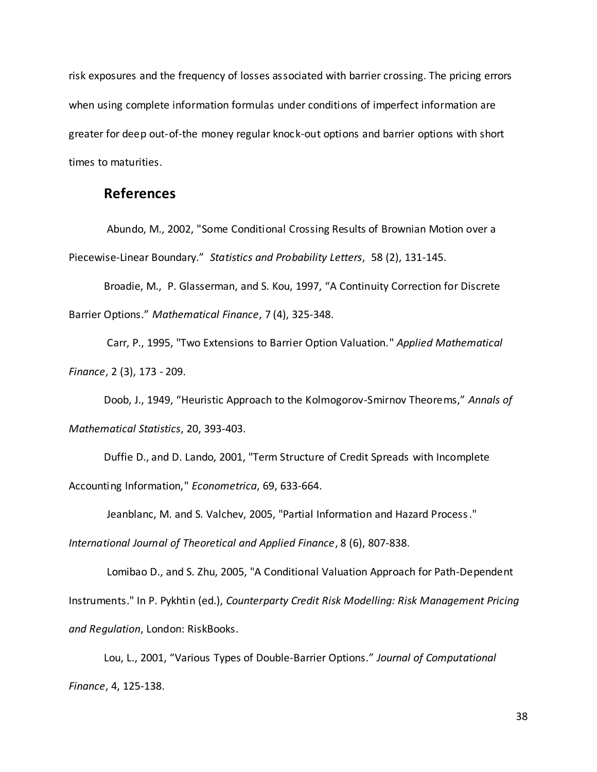risk exposures and the frequency of losses associated with barrier crossing. The pricing errors when using complete information formulas under conditions of imperfect information are greater for deep out-of-the money regular knock-out options and barrier options with short times to maturities.

## **References**

Abundo, M., 2002, "Some Conditional Crossing Results of Brownian Motion over a Piecewise-Linear Boundary." *Statistics and Probability Letters*, 58 (2), 131-145.

Broadie, M., P. Glasserman, and S. Kou, 1997, "A Continuity Correction for Discrete Barrier Options." *Mathematical Finance*, 7 (4), 325-348.

Carr, P., 1995, "Two Extensions to Barrier Option Valuation." *Applied Mathematical Finance*, 2 (3), 173 - 209.

Doob, J., 1949, "Heuristic Approach to the Kolmogorov-Smirnov Theorems," *Annals of Mathematical Statistics*, 20, 393-403.

Duffie D., and D. Lando, 2001, "Term Structure of Credit Spreads with Incomplete Accounting Information," *Econometrica*, 69, 633-664.

Jeanblanc, M. and S. Valchev, 2005, "Partial Information and Hazard Process."

*International Journal of Theoretical and Applied Finance*, 8 (6), 807-838.

Lomibao D., and S. Zhu, 2005, "A Conditional Valuation Approach for Path-Dependent Instruments." In P. Pykhtin (ed.), *Counterparty Credit Risk Modelling: Risk Management Pricing and Regulation*, London: RiskBooks.

Lou, L., 2001, "Various Types of Double-Barrier Options." *Journal of Computational Finance*, 4, 125-138.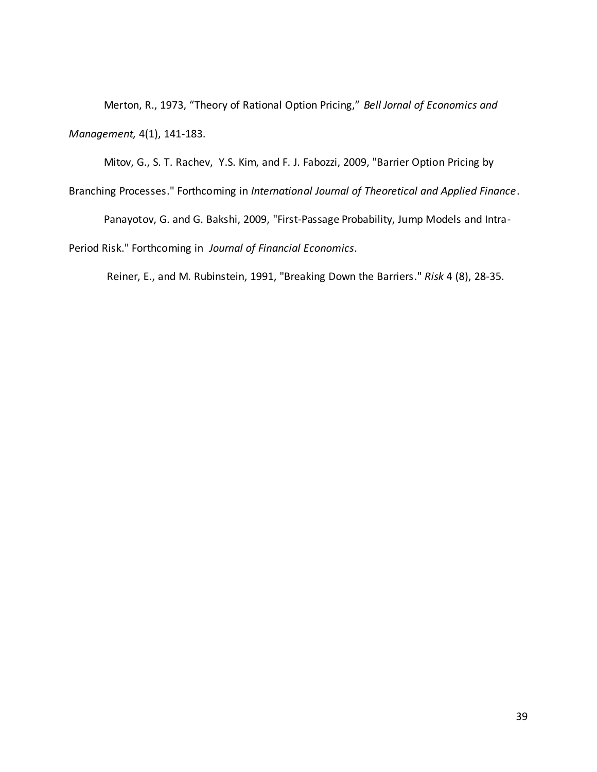Merton, R., 1973, "Theory of Rational Option Pricing," *Bell Jornal of Economics and Management,* 4(1), 141-183.

Branching Processes." Forthcoming in *International Journal of Theoretical and Applied Finance*. Panayotov, G. and G. Bakshi, 2009, "First-Passage Probability, Jump Models and Intra-Period Risk." Forthcoming in *Journal of Financial Economics*.

Mitov, G., S. T. Rachev, Y.S. Kim, and F. J. Fabozzi, 2009, "Barrier Option Pricing by

Reiner, E., and M. Rubinstein, 1991, "Breaking Down the Barriers." *Risk* 4 (8), 28-35.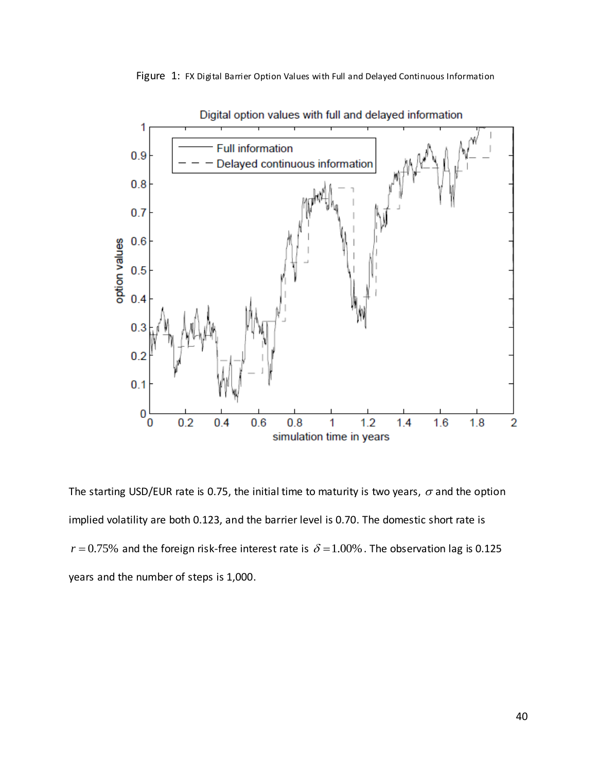Figure 1: FX Digital Barrier Option Values with Full and Delayed Continuous Information



Digital option values with full and delayed information

The starting USD/EUR rate is 0.75, the initial time to maturity is two years,  $\sigma$  and the option implied volatility are both 0.123, and the barrier level is 0.70. The domestic short rate is  $r = 0.75\%$  and the foreign risk-free interest rate is  $\delta = 1.00\%$  . The observation lag is 0.125 years and the number of steps is 1,000.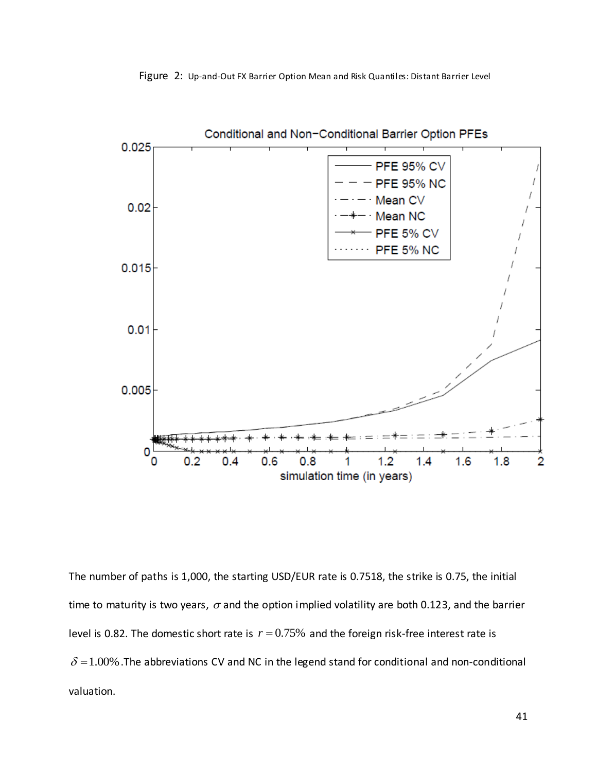



The number of paths is 1,000, the starting USD/EUR rate is 0.7518, the strike is 0.75, the initial time to maturity is two years,  $\sigma$  and the option implied volatility are both 0.123, and the barrier level is 0.82. The domestic short rate is  $r = 0.75\%$  and the foreign risk-free interest rate is  $\delta$  = 1.00%. The abbreviations CV and NC in the legend stand for conditional and non-conditional valuation.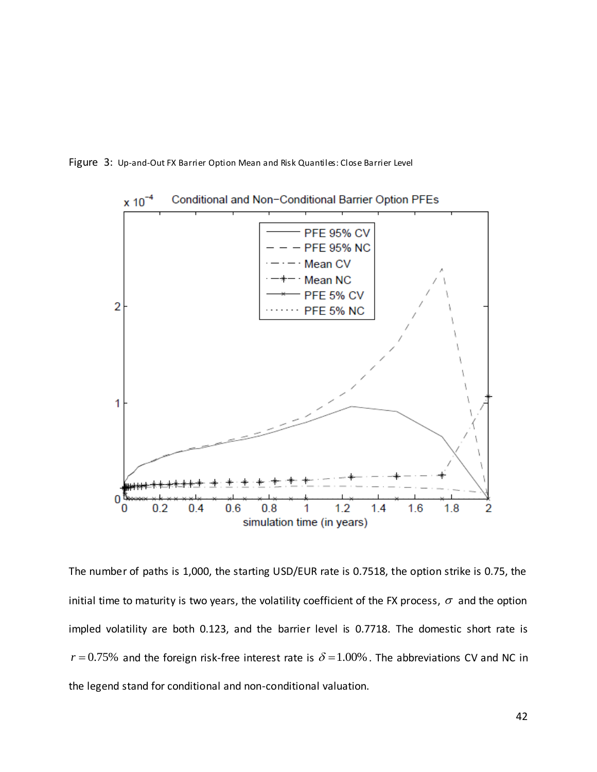



The number of paths is 1,000, the starting USD/EUR rate is 0.7518, the option strike is 0.75, the initial time to maturity is two years, the volatility coefficient of the FX process,  $\sigma$  and the option impled volatility are both 0.123, and the barrier level is 0.7718. The domestic short rate is  $r = 0.75\%$  and the foreign risk-free interest rate is  $\delta = 1.00\%$  . The abbreviations CV and NC in the legend stand for conditional and non-conditional valuation.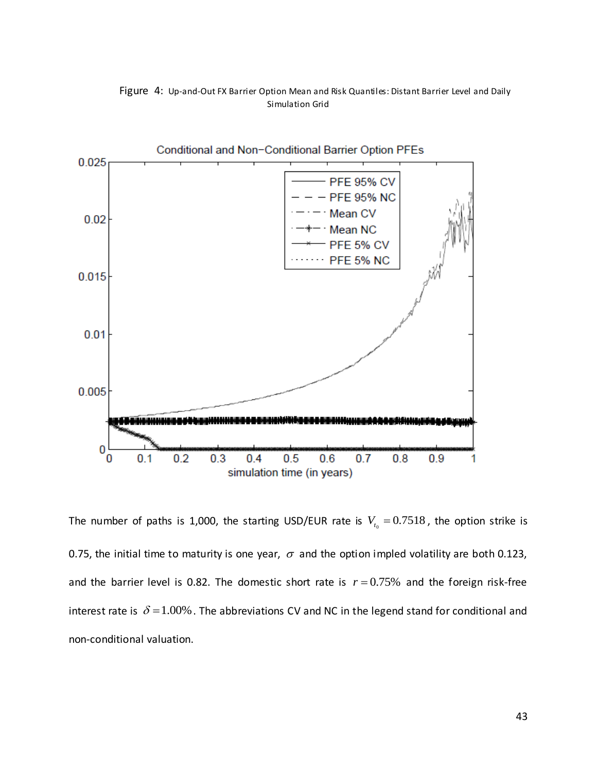



The number of paths is 1,000, the starting USD/EUR rate is  $V_{t_0} = 0.7518$ , the option strike is 0.75, the initial time to maturity is one year,  $\sigma$  and the option impled volatility are both 0.123, and the barrier level is 0.82. The domestic short rate is  $r = 0.75\%$  and the foreign risk-free interest rate is  $\delta$  = 1.00% . The abbreviations CV and NC in the legend stand for conditional and non-conditional valuation.